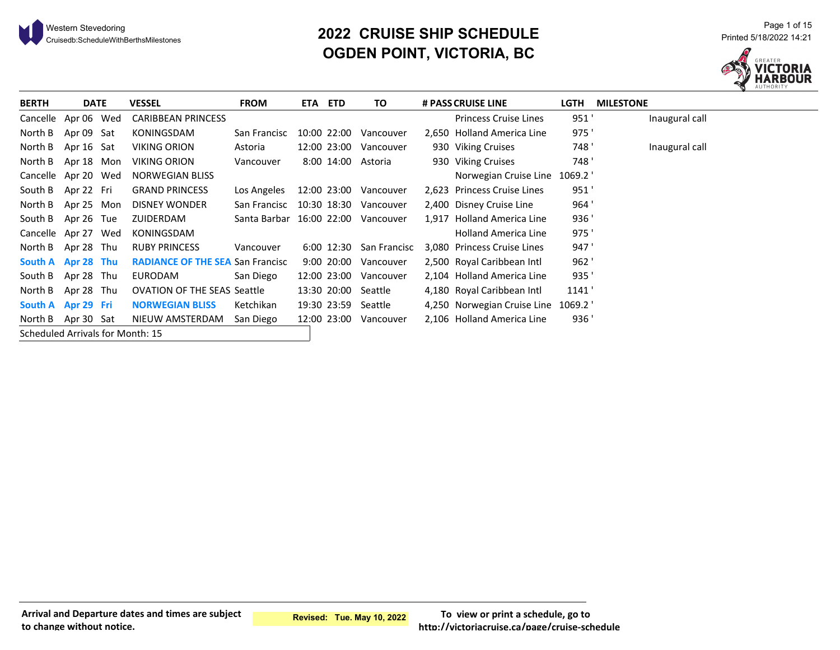

# <sup>21</sup> <sup>Page 1 of 15</sub><br>20**22 CRUISE SHIP SCHEDULE** Printed 5/18/2022 14:21 Printed 5/18/2022 14:21 Printed 5/18/2022 14:21</sup> **OGDEN POINT, VICTORIA, BC**



| <b>BERTH</b>                     | <b>DATE</b> | <b>VESSEL</b>                           | <b>FROM</b>              | ETA ETD     | TO           | # PASS CRUISE LINE           | <b>LGTH</b> | <b>MILESTONE</b> |
|----------------------------------|-------------|-----------------------------------------|--------------------------|-------------|--------------|------------------------------|-------------|------------------|
| Cancelle Apr 06 Wed              |             | <b>CARIBBEAN PRINCESS</b>               |                          |             |              | <b>Princess Cruise Lines</b> | 951'        | Inaugural call   |
| North B                          | Apr 09 Sat  | KONINGSDAM                              | San Francisc             | 10:00 22:00 | Vancouver    | 2,650 Holland America Line   | 975'        |                  |
| North B                          | Apr 16 Sat  | <b>VIKING ORION</b>                     | Astoria                  | 12:00 23:00 | Vancouver    | 930 Viking Cruises           | 748 '       | Inaugural call   |
| North B                          | Apr 18 Mon  | <b>VIKING ORION</b>                     | Vancouver                | 8:00 14:00  | Astoria      | 930 Viking Cruises           | 748'        |                  |
| Cancelle Apr 20 Wed              |             | NORWEGIAN BLISS                         |                          |             |              | Norwegian Cruise Line 1069.2 |             |                  |
| South B Apr 22 Fri               |             | <b>GRAND PRINCESS</b>                   | Los Angeles              | 12:00 23:00 | Vancouver    | 2,623 Princess Cruise Lines  | 951'        |                  |
| North B Apr 25 Mon               |             | <b>DISNEY WONDER</b>                    | San Francisc             | 10:30 18:30 | Vancouver    | 2,400 Disney Cruise Line     | 964'        |                  |
| South B Apr 26 Tue               |             | ZUIDERDAM                               | Santa Barbar 16:00 22:00 |             | Vancouver    | 1,917 Holland America Line   | 936'        |                  |
| Cancelle Apr 27 Wed              |             | KONINGSDAM                              |                          |             |              | <b>Holland America Line</b>  | 975'        |                  |
| North B Apr 28 Thu               |             | <b>RUBY PRINCESS</b>                    | Vancouver                | 6:00 12:30  | San Francisc | 3,080 Princess Cruise Lines  | 947'        |                  |
| South A Apr 28 Thu               |             | <b>RADIANCE OF THE SEA San Francisc</b> |                          | 9:00 20:00  | Vancouver    | 2,500 Royal Caribbean Intl   | 962'        |                  |
| South B Apr 28 Thu               |             | <b>EURODAM</b>                          | San Diego                | 12:00 23:00 | Vancouver    | 2.104 Holland America Line   | 935'        |                  |
| North B                          | Apr 28 Thu  | <b>OVATION OF THE SEAS Seattle</b>      |                          | 13:30 20:00 | Seattle      | 4,180 Royal Caribbean Intl   | 1141'       |                  |
| South A Apr 29 Fri               |             | <b>NORWEGIAN BLISS</b>                  | Ketchikan                | 19:30 23:59 | Seattle      | 4,250 Norwegian Cruise Line  | 1069.2 '    |                  |
| North B Apr 30 Sat               |             | NIEUW AMSTERDAM                         | San Diego                | 12:00 23:00 | Vancouver    | 2,106 Holland America Line   | 936'        |                  |
| Scheduled Arrivals for Month: 15 |             |                                         |                          |             |              |                              |             |                  |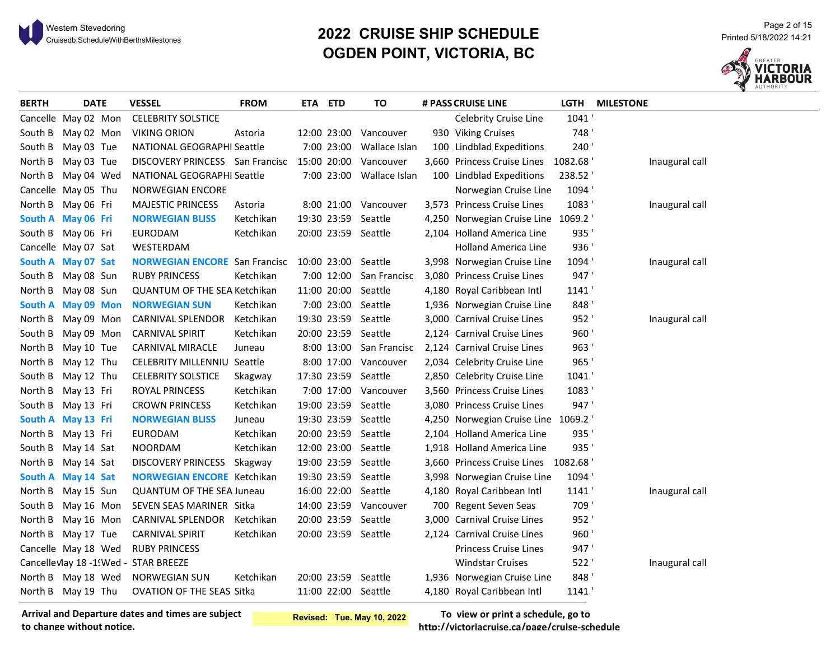

# <sup>21</sup> <sup>Page 2 of 15</sub><br>2012 Cruisedb:ScheduleWithBerthsMilestones Printed 5/18/2022 14:21<br>21:21 Printed 5/18/2022 14:21 Printed 5/18/2022</sup> **OGDEN POINT, VICTORIA, BC**



| <b>BERTH</b> | <b>DATE</b>                | <b>VESSEL</b>                        | <b>FROM</b> | ETA ETD     |             | <b>TO</b>               | # PASS CRUISE LINE                  | <b>LGTH</b> | <b>MILESTONE</b> |
|--------------|----------------------------|--------------------------------------|-------------|-------------|-------------|-------------------------|-------------------------------------|-------------|------------------|
|              | Cancelle May 02 Mon        | <b>CELEBRITY SOLSTICE</b>            |             |             |             |                         | Celebrity Cruise Line               | 1041        |                  |
|              | South B May 02 Mon         | <b>VIKING ORION</b>                  | Astoria     |             | 12:00 23:00 | Vancouver               | 930 Viking Cruises                  | 748'        |                  |
|              | South B May 03 Tue         | NATIONAL GEOGRAPHI Seattle           |             |             | 7:00 23:00  | Wallace Islan           | 100 Lindblad Expeditions            | 240'        |                  |
|              | North B May 03 Tue         | DISCOVERY PRINCESS San Francisc      |             | 15:00 20:00 |             | Vancouver               | 3,660 Princess Cruise Lines         | 1082.68     | Inaugural call   |
| North B      | May 04 Wed                 | NATIONAL GEOGRAPHI Seattle           |             |             | 7:00 23:00  | Wallace Islan           | 100 Lindblad Expeditions            | 238.52      |                  |
|              | Cancelle May 05 Thu        | <b>NORWEGIAN ENCORE</b>              |             |             |             |                         | Norwegian Cruise Line               | 1094'       |                  |
|              | North B May 06 Fri         | <b>MAJESTIC PRINCESS</b>             | Astoria     |             |             | 8:00 21:00 Vancouver    | 3,573 Princess Cruise Lines         | 1083'       | Inaugural call   |
|              | South A May 06 Fri         | <b>NORWEGIAN BLISS</b>               | Ketchikan   |             | 19:30 23:59 | Seattle                 | 4,250 Norwegian Cruise Line 1069.2  |             |                  |
|              | South B May 06 Fri         | EURODAM                              | Ketchikan   |             |             | 20:00 23:59 Seattle     | 2,104 Holland America Line          | 935'        |                  |
|              | Cancelle May 07 Sat        | WESTERDAM                            |             |             |             |                         | Holland America Line                | 936'        |                  |
|              | South A May 07 Sat         | <b>NORWEGIAN ENCORE San Francisc</b> |             |             |             | 10:00 23:00 Seattle     | 3,998 Norwegian Cruise Line         | 1094'       | Inaugural call   |
|              | South B May 08 Sun         | <b>RUBY PRINCESS</b>                 | Ketchikan   |             | 7:00 12:00  | San Francisc            | 3,080 Princess Cruise Lines         | 947'        |                  |
|              | North B May 08 Sun         | QUANTUM OF THE SEA Ketchikan         |             |             | 11:00 20:00 | Seattle                 | 4,180 Royal Caribbean Intl          | 1141'       |                  |
|              | South A May 09 Mon         | <b>NORWEGIAN SUN</b>                 | Ketchikan   |             | 7:00 23:00  | Seattle                 | 1,936 Norwegian Cruise Line         | 848'        |                  |
|              | North B May 09 Mon         | <b>CARNIVAL SPLENDOR</b>             | Ketchikan   |             | 19:30 23:59 | Seattle                 | 3,000 Carnival Cruise Lines         | 952'        | Inaugural call   |
| South B      | May 09 Mon                 | <b>CARNIVAL SPIRIT</b>               | Ketchikan   |             | 20:00 23:59 | Seattle                 | 2,124 Carnival Cruise Lines         | 960'        |                  |
|              | North B May 10 Tue         | CARNIVAL MIRACLE                     | Juneau      |             |             | 8:00 13:00 San Francisc | 2,124 Carnival Cruise Lines         | 963'        |                  |
| North B      | May 12 Thu                 | CELEBRITY MILLENNIU Seattle          |             |             | 8:00 17:00  | Vancouver               | 2,034 Celebrity Cruise Line         | 965'        |                  |
| South B      | May 12 Thu                 | <b>CELEBRITY SOLSTICE</b>            | Skagway     |             |             | 17:30 23:59 Seattle     | 2,850 Celebrity Cruise Line         | 1041'       |                  |
| North B      | May 13 Fri                 | ROYAL PRINCESS                       | Ketchikan   |             |             | 7:00 17:00 Vancouver    | 3,560 Princess Cruise Lines         | 1083'       |                  |
|              | South B May 13 Fri         | <b>CROWN PRINCESS</b>                | Ketchikan   |             |             | 19:00 23:59 Seattle     | 3,080 Princess Cruise Lines         | 947'        |                  |
|              | South A May 13 Fri         | <b>NORWEGIAN BLISS</b>               | Juneau      |             |             | 19:30 23:59 Seattle     | 4,250 Norwegian Cruise Line 1069.2  |             |                  |
| North B      | May 13 Fri                 | EURODAM                              | Ketchikan   |             |             | 20:00 23:59 Seattle     | 2,104 Holland America Line          | 935'        |                  |
| South B      | May 14 Sat                 | <b>NOORDAM</b>                       | Ketchikan   |             | 12:00 23:00 | Seattle                 | 1,918 Holland America Line          | 935'        |                  |
| North B      | May 14 Sat                 | DISCOVERY PRINCESS Skagway           |             |             | 19:00 23:59 | Seattle                 | 3,660 Princess Cruise Lines 1082.68 |             |                  |
|              | South A May 14 Sat         | <b>NORWEGIAN ENCORE</b> Ketchikan    |             |             | 19:30 23:59 | Seattle                 | 3,998 Norwegian Cruise Line         | 1094'       |                  |
|              | North B May 15 Sun         | <b>QUANTUM OF THE SEA Juneau</b>     |             |             | 16:00 22:00 | Seattle                 | 4,180 Royal Caribbean Intl          | 1141'       | Inaugural call   |
|              | South B May 16 Mon         | SEVEN SEAS MARINER Sitka             |             |             |             | 14:00 23:59 Vancouver   | 700 Regent Seven Seas               | 709'        |                  |
|              | North B May 16 Mon         | <b>CARNIVAL SPLENDOR</b>             | Ketchikan   |             |             | 20:00 23:59 Seattle     | 3,000 Carnival Cruise Lines         | 952'        |                  |
|              | North B May 17 Tue         | <b>CARNIVAL SPIRIT</b>               | Ketchikan   |             |             | 20:00 23:59 Seattle     | 2,124 Carnival Cruise Lines         | 960'        |                  |
|              | Cancelle May 18 Wed        | <b>RUBY PRINCESS</b>                 |             |             |             |                         | <b>Princess Cruise Lines</b>        | 947'        |                  |
|              | Cancelle Vlay 18 -1! Wed - | <b>STAR BREEZE</b>                   |             |             |             |                         | <b>Windstar Cruises</b>             | 522'        | Inaugural call   |
|              | North B May 18 Wed         | <b>NORWEGIAN SUN</b>                 | Ketchikan   |             |             | 20:00 23:59 Seattle     | 1,936 Norwegian Cruise Line         | 848         |                  |
|              | North B May 19 Thu         | OVATION OF THE SEAS Sitka            |             |             |             | 11:00 22:00 Seattle     | 4,180 Royal Caribbean Intl          | 1141        |                  |

**Arrival and Departure dates and times are subject to change without notice.**

**Revised: Tue. May 10, 2022**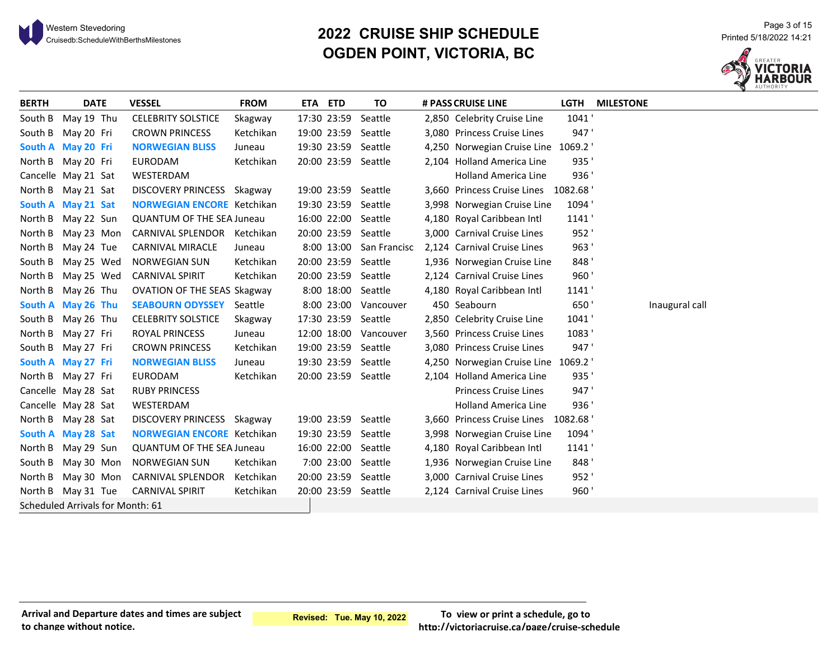# <sup>21</sup> <sup>Page 3 of 15</sub><br>2022 CRUISE SHIP SCHEDULE Printed 5/18/2022 14:21 Printed 5/18/2022 14:21<br>21:21 Printed 5/18/2022 14:21 Printed 5/18</sup> **OGDEN POINT, VICTORIA, BC**



| <b>BERTH</b> | <b>DATE</b>                      | <b>VESSEL</b>                      | <b>FROM</b> | ETA ETD     | TO                      | # PASS CRUISE LINE                  | LGTH    | <b>MILESTONE</b> |
|--------------|----------------------------------|------------------------------------|-------------|-------------|-------------------------|-------------------------------------|---------|------------------|
| South B      | May 19 Thu                       | <b>CELEBRITY SOLSTICE</b>          | Skagway     | 17:30 23:59 | Seattle                 | 2,850 Celebrity Cruise Line         | 1041'   |                  |
| South B      | May 20 Fri                       | <b>CROWN PRINCESS</b>              | Ketchikan   |             | 19:00 23:59 Seattle     | 3,080 Princess Cruise Lines         | 947'    |                  |
|              | South A May 20 Fri               | <b>NORWEGIAN BLISS</b>             | Juneau      |             | 19:30 23:59 Seattle     | 4,250 Norwegian Cruise Line 1069.2  |         |                  |
|              | North B May 20 Fri               | <b>EURODAM</b>                     | Ketchikan   |             | 20:00 23:59 Seattle     | 2,104 Holland America Line          | 935'    |                  |
|              | Cancelle May 21 Sat              | <b>WESTERDAM</b>                   |             |             |                         | <b>Holland America Line</b>         | 936'    |                  |
|              | North B May 21 Sat               | DISCOVERY PRINCESS Skagway         |             |             | 19:00 23:59 Seattle     | 3,660 Princess Cruise Lines 1082.68 |         |                  |
|              | South A May 21 Sat               | <b>NORWEGIAN ENCORE Ketchikan</b>  |             |             | 19:30 23:59 Seattle     | 3,998 Norwegian Cruise Line         | 1094'   |                  |
|              | North B May 22 Sun               | <b>QUANTUM OF THE SEA Juneau</b>   |             |             | 16:00 22:00 Seattle     | 4,180 Royal Caribbean Intl          | 1141'   |                  |
| North B      | May 23 Mon                       | CARNIVAL SPLENDOR Ketchikan        |             |             | 20:00 23:59 Seattle     | 3,000 Carnival Cruise Lines         | 952'    |                  |
|              | North B May 24 Tue               | <b>CARNIVAL MIRACLE</b>            | Juneau      |             | 8:00 13:00 San Francisc | 2,124 Carnival Cruise Lines         | 963'    |                  |
| South B      | May 25 Wed                       | <b>NORWEGIAN SUN</b>               | Ketchikan   |             | 20:00 23:59 Seattle     | 1,936 Norwegian Cruise Line         | 848'    |                  |
| North B      | May 25 Wed                       | <b>CARNIVAL SPIRIT</b>             | Ketchikan   |             | 20:00 23:59 Seattle     | 2,124 Carnival Cruise Lines         | 960'    |                  |
|              | North B May 26 Thu               | <b>OVATION OF THE SEAS Skagway</b> |             |             | 8:00 18:00 Seattle      | 4,180 Royal Caribbean Intl          | 1141'   |                  |
|              | South A May 26 Thu               | <b>SEABOURN ODYSSEY</b> Seattle    |             |             | 8:00 23:00 Vancouver    | 450 Seabourn                        | 650'    | Inaugural call   |
|              | South B May 26 Thu               | <b>CELEBRITY SOLSTICE</b>          | Skagway     |             | 17:30 23:59 Seattle     | 2,850 Celebrity Cruise Line         | 1041'   |                  |
| North B      | May 27 Fri                       | ROYAL PRINCESS                     | Juneau      |             | 12:00 18:00 Vancouver   | 3,560 Princess Cruise Lines         | 1083'   |                  |
|              | South B May 27 Fri               | <b>CROWN PRINCESS</b>              | Ketchikan   |             | 19:00 23:59 Seattle     | 3,080 Princess Cruise Lines         | 947'    |                  |
|              | South A May 27 Fri               | <b>NORWEGIAN BLISS</b>             | Juneau      |             | 19:30 23:59 Seattle     | 4,250 Norwegian Cruise Line 1069.2  |         |                  |
|              | North B May 27 Fri               | <b>EURODAM</b>                     | Ketchikan   |             | 20:00 23:59 Seattle     | 2,104 Holland America Line          | 935'    |                  |
|              | Cancelle May 28 Sat              | <b>RUBY PRINCESS</b>               |             |             |                         | <b>Princess Cruise Lines</b>        | 947'    |                  |
|              | Cancelle May 28 Sat              | WESTERDAM                          |             |             |                         | <b>Holland America Line</b>         | 936'    |                  |
|              | North B May 28 Sat               | DISCOVERY PRINCESS Skagway         |             |             | 19:00 23:59 Seattle     | 3,660 Princess Cruise Lines         | 1082.68 |                  |
|              | South A May 28 Sat               | <b>NORWEGIAN ENCORE Ketchikan</b>  |             |             | 19:30 23:59 Seattle     | 3,998 Norwegian Cruise Line         | 1094'   |                  |
|              | North B May 29 Sun               | <b>QUANTUM OF THE SEA Juneau</b>   |             |             | 16:00 22:00 Seattle     | 4,180 Royal Caribbean Intl          | 1141'   |                  |
| South B      | May 30 Mon                       | <b>NORWEGIAN SUN</b>               | Ketchikan   |             | 7:00 23:00 Seattle      | 1,936 Norwegian Cruise Line         | 848'    |                  |
| North B      | May 30 Mon                       | CARNIVAL SPLENDOR                  | Ketchikan   |             | 20:00 23:59 Seattle     | 3,000 Carnival Cruise Lines         | 952'    |                  |
|              | North B May 31 Tue               | <b>CARNIVAL SPIRIT</b>             | Ketchikan   |             | 20:00 23:59 Seattle     | 2,124 Carnival Cruise Lines         | 960'    |                  |
|              | Scheduled Arrivals for Month: 61 |                                    |             |             |                         |                                     |         |                  |

#### **Arrival and Departure dates and times are subject to change without notice.**

**Revised: Tue. May 10, 2022**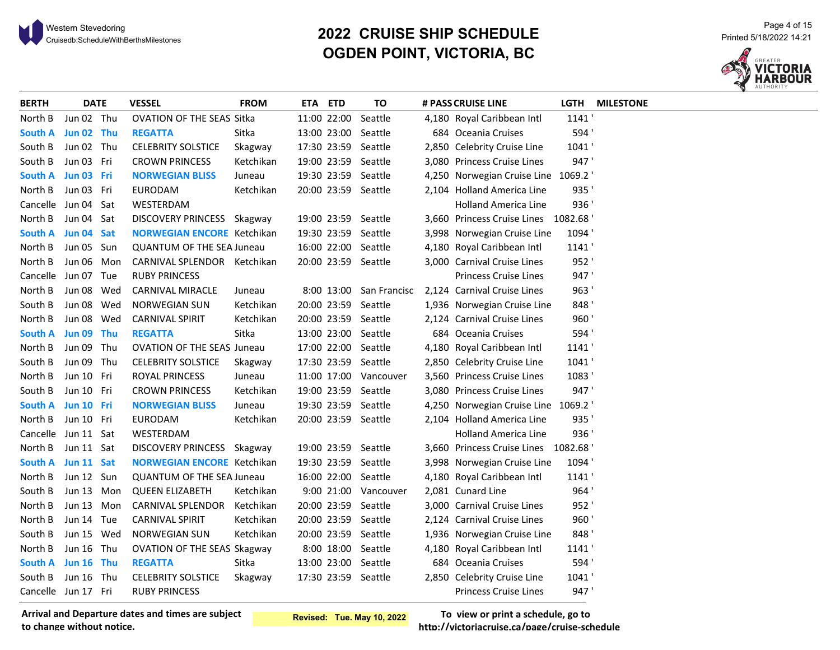# <sup>21</sup> <sup>Page 4 of 15</sub><br>20**22 CRUISE SHIP SCHEDULE** Printed 5/18/2022 14:21 Printed 5/18/2022 14:21 Printed 5/18/2022 14:21</sup> **OGDEN POINT, VICTORIA, BC**



| <b>BERTH</b>        | <b>DATE</b> | <b>VESSEL</b>                     | <b>FROM</b> | ETA ETD |             | TO                  | # PASS CRUISE LINE                  | <b>LGTH</b> | <b>MILESTONE</b> |
|---------------------|-------------|-----------------------------------|-------------|---------|-------------|---------------------|-------------------------------------|-------------|------------------|
| North B             | Jun 02 Thu  | OVATION OF THE SEAS Sitka         |             |         | 11:00 22:00 | Seattle             | 4,180 Royal Caribbean Intl          | 1141        |                  |
| South A             | Jun 02 Thu  | <b>REGATTA</b>                    | Sitka       |         | 13:00 23:00 | Seattle             | 684 Oceania Cruises                 | 594'        |                  |
| South B             | Jun 02 Thu  | <b>CELEBRITY SOLSTICE</b>         | Skagway     |         |             | 17:30 23:59 Seattle | 2,850 Celebrity Cruise Line         | 1041        |                  |
| South B             | Jun 03 Fri  | <b>CROWN PRINCESS</b>             | Ketchikan   |         |             | 19:00 23:59 Seattle | 3,080 Princess Cruise Lines         | 947'        |                  |
| South A Jun 03 Fri  |             | <b>NORWEGIAN BLISS</b>            | Juneau      |         |             | 19:30 23:59 Seattle | 4,250 Norwegian Cruise Line 1069.2  |             |                  |
| North B             | Jun 03 Fri  | <b>EURODAM</b>                    | Ketchikan   |         |             | 20:00 23:59 Seattle | 2,104 Holland America Line          | 935         |                  |
| Cancelle Jun 04 Sat |             | WESTERDAM                         |             |         |             |                     | <b>Holland America Line</b>         | 936'        |                  |
| North B             | Jun 04 Sat  | DISCOVERY PRINCESS Skagway        |             |         |             | 19:00 23:59 Seattle | 3,660 Princess Cruise Lines 1082.68 |             |                  |
| South A Jun 04 Sat  |             | <b>NORWEGIAN ENCORE</b> Ketchikan |             |         |             | 19:30 23:59 Seattle | 3,998 Norwegian Cruise Line         | 1094'       |                  |
| North B             | Jun 05 Sun  | <b>QUANTUM OF THE SEA Juneau</b>  |             |         |             | 16:00 22:00 Seattle | 4,180 Royal Caribbean Intl          | 1141        |                  |
| North B             | Jun 06 Mon  | CARNIVAL SPLENDOR Ketchikan       |             |         |             | 20:00 23:59 Seattle | 3,000 Carnival Cruise Lines         | 952'        |                  |
| Cancelle Jun 07 Tue |             | <b>RUBY PRINCESS</b>              |             |         |             |                     | <b>Princess Cruise Lines</b>        | 947'        |                  |
| North B             | Jun 08 Wed  | CARNIVAL MIRACLE                  | Juneau      |         | 8:00 13:00  | San Francisc        | 2,124 Carnival Cruise Lines         | 963'        |                  |
| South B             | Jun 08 Wed  | <b>NORWEGIAN SUN</b>              | Ketchikan   |         |             | 20:00 23:59 Seattle | 1,936 Norwegian Cruise Line         | 848'        |                  |
| North B             | Jun 08 Wed  | <b>CARNIVAL SPIRIT</b>            | Ketchikan   |         |             | 20:00 23:59 Seattle | 2,124 Carnival Cruise Lines         | 960'        |                  |
| South A             | Jun 09 Thu  | <b>REGATTA</b>                    | Sitka       |         |             | 13:00 23:00 Seattle | 684 Oceania Cruises                 | 594'        |                  |
| North B             | Jun 09 Thu  | <b>OVATION OF THE SEAS Juneau</b> |             |         |             | 17:00 22:00 Seattle | 4,180 Royal Caribbean Intl          | 1141'       |                  |
| South B             | Jun 09 Thu  | <b>CELEBRITY SOLSTICE</b>         | Skagway     |         |             | 17:30 23:59 Seattle | 2,850 Celebrity Cruise Line         | 1041'       |                  |
| North B             | Jun 10 Fri  | ROYAL PRINCESS                    | Juneau      |         | 11:00 17:00 | Vancouver           | 3,560 Princess Cruise Lines         | 1083'       |                  |
| South B             | Jun 10 Fri  | <b>CROWN PRINCESS</b>             | Ketchikan   |         |             | 19:00 23:59 Seattle | 3,080 Princess Cruise Lines         | 947'        |                  |
| South A Jun 10 Fri  |             | <b>NORWEGIAN BLISS</b>            | Juneau      |         |             | 19:30 23:59 Seattle | 4,250 Norwegian Cruise Line 1069.2  |             |                  |
| North B             | Jun 10 Fri  | <b>EURODAM</b>                    | Ketchikan   |         |             | 20:00 23:59 Seattle | 2,104 Holland America Line          | 935         |                  |
| Cancelle            | Jun 11 Sat  | WESTERDAM                         |             |         |             |                     | <b>Holland America Line</b>         | 936         |                  |
| North B             | Jun 11 Sat  | DISCOVERY PRINCESS Skagway        |             |         |             | 19:00 23:59 Seattle | 3,660 Princess Cruise Lines 1082.68 |             |                  |
| South A Jun 11 Sat  |             | <b>NORWEGIAN ENCORE Ketchikan</b> |             |         |             | 19:30 23:59 Seattle | 3,998 Norwegian Cruise Line         | 1094'       |                  |
| North B             | Jun 12 Sun  | <b>QUANTUM OF THE SEA Juneau</b>  |             |         |             | 16:00 22:00 Seattle | 4,180 Royal Caribbean Intl          | 1141        |                  |
| South B             | Jun 13 Mon  | <b>QUEEN ELIZABETH</b>            | Ketchikan   |         | 9:00 21:00  | Vancouver           | 2,081 Cunard Line                   | 964'        |                  |
| North B             | Jun 13 Mon  | CARNIVAL SPLENDOR                 | Ketchikan   |         | 20:00 23:59 | Seattle             | 3,000 Carnival Cruise Lines         | 952'        |                  |
| North B             | Jun 14 Tue  | <b>CARNIVAL SPIRIT</b>            | Ketchikan   |         |             | 20:00 23:59 Seattle | 2,124 Carnival Cruise Lines         | 960'        |                  |
| South B             | Jun 15 Wed  | <b>NORWEGIAN SUN</b>              | Ketchikan   |         |             | 20:00 23:59 Seattle | 1,936 Norwegian Cruise Line         | 848'        |                  |
| North B             | Jun 16 Thu  | OVATION OF THE SEAS Skagway       |             |         |             | 8:00 18:00 Seattle  | 4,180 Royal Caribbean Intl          | 1141        |                  |
| South A             | Jun 16 Thu  | <b>REGATTA</b>                    | Sitka       |         |             | 13:00 23:00 Seattle | 684 Oceania Cruises                 | 594'        |                  |
| South B             | Jun 16 Thu  | <b>CELEBRITY SOLSTICE</b>         | Skagway     |         |             | 17:30 23:59 Seattle | 2,850 Celebrity Cruise Line         | 1041        |                  |
| Cancelle Jun 17 Fri |             | <b>RUBY PRINCESS</b>              |             |         |             |                     | <b>Princess Cruise Lines</b>        | 947'        |                  |

**Arrival and Departure dates and times are subject to change without notice.**

**Revised: Tue. May 10, 2022**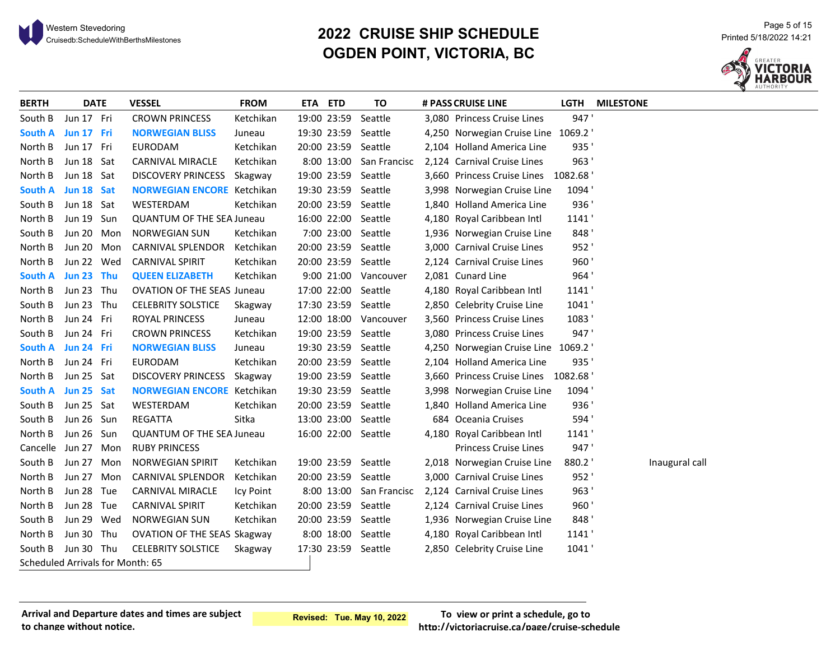# <sup>21</sup> <sup>Page 5 of 15</sub><br>2022 CRUISE SHIP SCHEDULE Printed 5/18/2022 14:21 Printed 5/18/2022 14:21<br>21:21 Printed 5/18/2022 14:21 Printed 5/18</sup> **OGDEN POINT, VICTORIA, BC**



| <b>BERTH</b>                     | <b>DATE</b> | <b>VESSEL</b>                      | <b>FROM</b> | ETA ETD |             | TO                      | # PASS CRUISE LINE                  | <b>LGTH</b> | <b>MILESTONE</b> |
|----------------------------------|-------------|------------------------------------|-------------|---------|-------------|-------------------------|-------------------------------------|-------------|------------------|
| South B                          | Jun 17 Fri  | <b>CROWN PRINCESS</b>              | Ketchikan   |         | 19:00 23:59 | Seattle                 | 3,080 Princess Cruise Lines         | 947'        |                  |
| South A Jun 17 Fri               |             | <b>NORWEGIAN BLISS</b>             | Juneau      |         |             | 19:30 23:59 Seattle     | 4,250 Norwegian Cruise Line 1069.2  |             |                  |
| North B                          | Jun 17 Fri  | <b>EURODAM</b>                     | Ketchikan   |         |             | 20:00 23:59 Seattle     | 2,104 Holland America Line          | 935'        |                  |
| North B                          | Jun 18 Sat  | <b>CARNIVAL MIRACLE</b>            | Ketchikan   |         |             | 8:00 13:00 San Francisc | 2,124 Carnival Cruise Lines         | 963'        |                  |
| North B                          | Jun 18 Sat  | <b>DISCOVERY PRINCESS</b>          | Skagway     |         |             | 19:00 23:59 Seattle     | 3,660 Princess Cruise Lines 1082.68 |             |                  |
| South A                          | Jun 18 Sat  | <b>NORWEGIAN ENCORE</b> Ketchikan  |             |         |             | 19:30 23:59 Seattle     | 3,998 Norwegian Cruise Line         | 1094'       |                  |
| South B                          | Jun 18 Sat  | WESTERDAM                          | Ketchikan   |         |             | 20:00 23:59 Seattle     | 1,840 Holland America Line          | 936         |                  |
| North B                          | Jun 19 Sun  | <b>QUANTUM OF THE SEA Juneau</b>   |             |         |             | 16:00 22:00 Seattle     | 4,180 Royal Caribbean Intl          | 1141'       |                  |
| South B                          | Jun 20 Mon  | <b>NORWEGIAN SUN</b>               | Ketchikan   |         |             | 7:00 23:00 Seattle      | 1,936 Norwegian Cruise Line         | 848'        |                  |
| North B                          | Jun 20 Mon  | CARNIVAL SPLENDOR                  | Ketchikan   |         |             | 20:00 23:59 Seattle     | 3,000 Carnival Cruise Lines         | 952'        |                  |
| North B                          | Jun 22 Wed  | <b>CARNIVAL SPIRIT</b>             | Ketchikan   |         |             | 20:00 23:59 Seattle     | 2,124 Carnival Cruise Lines         | 960'        |                  |
| <b>South A</b>                   | Jun 23 Thu  | <b>QUEEN ELIZABETH</b>             | Ketchikan   |         |             | 9:00 21:00 Vancouver    | 2,081 Cunard Line                   | 964'        |                  |
| North B                          | Jun 23 Thu  | <b>OVATION OF THE SEAS Juneau</b>  |             |         |             | 17:00 22:00 Seattle     | 4,180 Royal Caribbean Intl          | 1141        |                  |
| South B                          | Jun 23 Thu  | <b>CELEBRITY SOLSTICE</b>          | Skagway     |         |             | 17:30 23:59 Seattle     | 2,850 Celebrity Cruise Line         | 1041'       |                  |
| North B                          | Jun 24 Fri  | ROYAL PRINCESS                     | Juneau      |         |             | 12:00 18:00 Vancouver   | 3,560 Princess Cruise Lines         | 1083'       |                  |
| South B                          | Jun 24 Fri  | <b>CROWN PRINCESS</b>              | Ketchikan   |         |             | 19:00 23:59 Seattle     | 3,080 Princess Cruise Lines         | 947'        |                  |
| South A                          | Jun 24 Fri  | <b>NORWEGIAN BLISS</b>             | Juneau      |         |             | 19:30 23:59 Seattle     | 4,250 Norwegian Cruise Line 1069.2  |             |                  |
| North B                          | Jun 24 Fri  | <b>EURODAM</b>                     | Ketchikan   |         |             | 20:00 23:59 Seattle     | 2,104 Holland America Line          | 935'        |                  |
| North B                          | Jun 25 Sat  | <b>DISCOVERY PRINCESS</b>          | Skagway     |         |             | 19:00 23:59 Seattle     | 3,660 Princess Cruise Lines 1082.68 |             |                  |
| <b>South A</b>                   | Jun 25 Sat  | <b>NORWEGIAN ENCORE</b> Ketchikan  |             |         |             | 19:30 23:59 Seattle     | 3,998 Norwegian Cruise Line         | 1094'       |                  |
| South B                          | Jun 25 Sat  | WESTERDAM                          | Ketchikan   |         |             | 20:00 23:59 Seattle     | 1,840 Holland America Line          | 936'        |                  |
| South B                          | Jun 26 Sun  | REGATTA                            | Sitka       |         |             | 13:00 23:00 Seattle     | 684 Oceania Cruises                 | 594'        |                  |
| North B                          | Jun 26 Sun  | <b>QUANTUM OF THE SEA Juneau</b>   |             |         |             | 16:00 22:00 Seattle     | 4,180 Royal Caribbean Intl          | 1141        |                  |
| Cancelle Jun 27 Mon              |             | <b>RUBY PRINCESS</b>               |             |         |             |                         | <b>Princess Cruise Lines</b>        | 947'        |                  |
| South B                          | Jun 27 Mon  | <b>NORWEGIAN SPIRIT</b>            | Ketchikan   |         |             | 19:00 23:59 Seattle     | 2,018 Norwegian Cruise Line         | 880.2       | Inaugural call   |
| North B                          | Jun 27 Mon  | <b>CARNIVAL SPLENDOR</b>           | Ketchikan   |         |             | 20:00 23:59 Seattle     | 3,000 Carnival Cruise Lines         | 952'        |                  |
| North B                          | Jun 28 Tue  | <b>CARNIVAL MIRACLE</b>            | Icy Point   |         |             | 8:00 13:00 San Francisc | 2,124 Carnival Cruise Lines         | 963'        |                  |
| North B                          | Jun 28 Tue  | <b>CARNIVAL SPIRIT</b>             | Ketchikan   |         |             | 20:00 23:59 Seattle     | 2,124 Carnival Cruise Lines         | 960'        |                  |
| South B                          | Jun 29 Wed  | <b>NORWEGIAN SUN</b>               | Ketchikan   |         |             | 20:00 23:59 Seattle     | 1,936 Norwegian Cruise Line         | 848'        |                  |
| North B                          | Jun 30 Thu  | <b>OVATION OF THE SEAS Skagway</b> |             |         |             | 8:00 18:00 Seattle      | 4,180 Royal Caribbean Intl          | 1141'       |                  |
| South B                          | Jun 30 Thu  | <b>CELEBRITY SOLSTICE</b>          | Skagway     |         |             | 17:30 23:59 Seattle     | 2,850 Celebrity Cruise Line         | 1041'       |                  |
| Scheduled Arrivals for Month: 65 |             |                                    |             |         |             |                         |                                     |             |                  |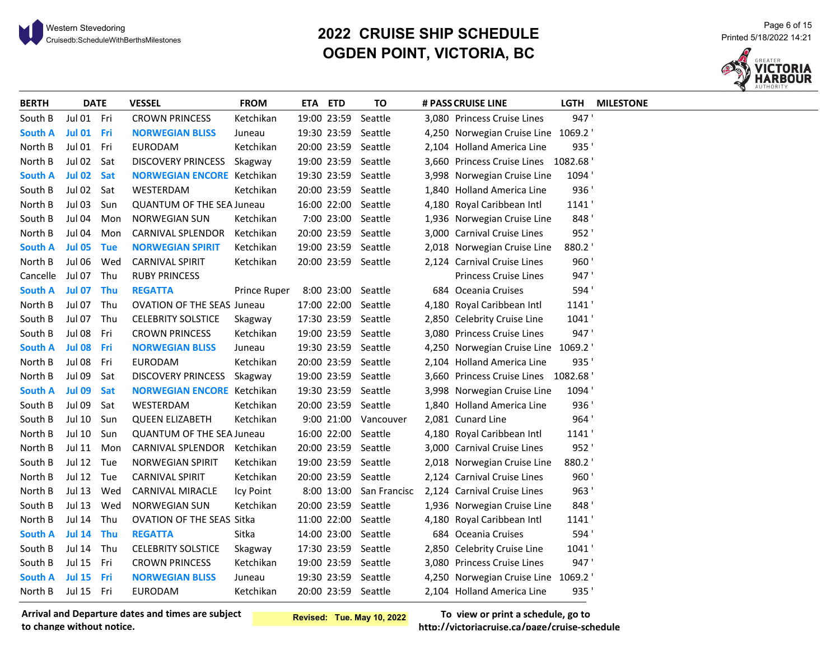# <sup>Page 6</sup> of 15 Page 6 of 15<br>Cruisedb:ScheduleWithBerthsMilestones **Page 6 of 15 Page 6 of 15 Printed 5/18/2022** 14:21 **OGDEN POINT, VICTORIA, BC**



| <b>BERTH</b>   | <b>DATE</b>   |            | <b>VESSEL</b>                     | <b>FROM</b>  | ETA ETD |             | ΤO                      | # PASS CRUISE LINE                  | LGTH  | <b>MILESTONE</b> |
|----------------|---------------|------------|-----------------------------------|--------------|---------|-------------|-------------------------|-------------------------------------|-------|------------------|
| South B        | Jul 01 Fri    |            | <b>CROWN PRINCESS</b>             | Ketchikan    |         | 19:00 23:59 | Seattle                 | 3,080 Princess Cruise Lines         | 947   |                  |
| <b>South A</b> | Jul 01 Fri    |            | <b>NORWEGIAN BLISS</b>            | Juneau       |         | 19:30 23:59 | Seattle                 | 4,250 Norwegian Cruise Line 1069.2  |       |                  |
| North B        | Jul 01        | Fri        | <b>EURODAM</b>                    | Ketchikan    |         | 20:00 23:59 | Seattle                 | 2,104 Holland America Line          | 935   |                  |
| North B        | <b>Jul 02</b> | Sat        | <b>DISCOVERY PRINCESS</b>         | Skagway      |         |             | 19:00 23:59 Seattle     | 3,660 Princess Cruise Lines 1082.68 |       |                  |
| <b>South A</b> | <b>Jul 02</b> | <b>Sat</b> | <b>NORWEGIAN ENCORE Ketchikan</b> |              |         |             | 19:30 23:59 Seattle     | 3,998 Norwegian Cruise Line         | 1094  |                  |
| South B        | Jul 02 Sat    |            | WESTERDAM                         | Ketchikan    |         |             | 20:00 23:59 Seattle     | 1,840 Holland America Line          | 936   |                  |
| North B        | <b>Jul 03</b> | Sun        | <b>QUANTUM OF THE SEA Juneau</b>  |              |         |             | 16:00 22:00 Seattle     | 4,180 Royal Caribbean Intl          | 1141  |                  |
| South B        | Jul 04        | Mon        | <b>NORWEGIAN SUN</b>              | Ketchikan    |         |             | 7:00 23:00 Seattle      | 1,936 Norwegian Cruise Line         | 848   |                  |
| North B        | Jul 04        | Mon        | CARNIVAL SPLENDOR                 | Ketchikan    |         |             | 20:00 23:59 Seattle     | 3,000 Carnival Cruise Lines         | 952'  |                  |
| South A        | <b>Jul 05</b> | <b>Tue</b> | <b>NORWEGIAN SPIRIT</b>           | Ketchikan    |         |             | 19:00 23:59 Seattle     | 2,018 Norwegian Cruise Line         | 880.2 |                  |
| North B        | Jul 06        | Wed        | <b>CARNIVAL SPIRIT</b>            | Ketchikan    |         |             | 20:00 23:59 Seattle     | 2,124 Carnival Cruise Lines         | 960   |                  |
| Cancelle       | Jul 07        | Thu        | <b>RUBY PRINCESS</b>              |              |         |             |                         | <b>Princess Cruise Lines</b>        | 947'  |                  |
| South A        | <b>Jul 07</b> | Thu        | <b>REGATTA</b>                    | Prince Ruper |         | 8:00 23:00  | Seattle                 | 684 Oceania Cruises                 | 594'  |                  |
| North B        | <b>Jul 07</b> | Thu        | <b>OVATION OF THE SEAS Juneau</b> |              |         | 17:00 22:00 | Seattle                 | 4,180 Royal Caribbean Intl          | 1141  |                  |
| South B        | <b>Jul 07</b> | Thu        | <b>CELEBRITY SOLSTICE</b>         | Skagway      |         |             | 17:30 23:59 Seattle     | 2,850 Celebrity Cruise Line         | 1041  |                  |
| South B        | <b>Jul 08</b> | Fri        | <b>CROWN PRINCESS</b>             | Ketchikan    |         |             | 19:00 23:59 Seattle     | 3,080 Princess Cruise Lines         | 947'  |                  |
| South A        | <b>Jul 08</b> | Fri        | <b>NORWEGIAN BLISS</b>            | Juneau       |         |             | 19:30 23:59 Seattle     | 4,250 Norwegian Cruise Line 1069.2  |       |                  |
| North B        | Jul 08        | Fri        | <b>EURODAM</b>                    | Ketchikan    |         |             | 20:00 23:59 Seattle     | 2,104 Holland America Line          | 935   |                  |
| North B        | <b>Jul 09</b> | Sat        | DISCOVERY PRINCESS Skagway        |              |         |             | 19:00 23:59 Seattle     | 3,660 Princess Cruise Lines 1082.68 |       |                  |
| South A        | <b>Jul 09</b> | Sat        | <b>NORWEGIAN ENCORE</b> Ketchikan |              |         |             | 19:30 23:59 Seattle     | 3,998 Norwegian Cruise Line         | 1094  |                  |
| South B        | <b>Jul 09</b> | Sat        | WESTERDAM                         | Ketchikan    |         |             | 20:00 23:59 Seattle     | 1,840 Holland America Line          | 936   |                  |
| South B        | <b>Jul 10</b> | Sun        | <b>QUEEN ELIZABETH</b>            | Ketchikan    |         | 9:00 21:00  | Vancouver               | 2,081 Cunard Line                   | 964   |                  |
| North B        | <b>Jul 10</b> | Sun        | <b>QUANTUM OF THE SEA Juneau</b>  |              |         | 16:00 22:00 | Seattle                 | 4,180 Royal Caribbean Intl          | 1141  |                  |
| North B        | Jul 11        | Mon        | CARNIVAL SPLENDOR                 | Ketchikan    |         |             | 20:00 23:59 Seattle     | 3,000 Carnival Cruise Lines         | 952'  |                  |
| South B        | Jul 12        | Tue        | <b>NORWEGIAN SPIRIT</b>           | Ketchikan    |         |             | 19:00 23:59 Seattle     | 2,018 Norwegian Cruise Line         | 880.2 |                  |
| North B        | <b>Jul 12</b> | Tue        | <b>CARNIVAL SPIRIT</b>            | Ketchikan    |         |             | 20:00 23:59 Seattle     | 2,124 Carnival Cruise Lines         | 960   |                  |
| North B        | <b>Jul 13</b> | Wed        | CARNIVAL MIRACLE                  | Icy Point    |         |             | 8:00 13:00 San Francisc | 2,124 Carnival Cruise Lines         | 963'  |                  |
| South B        | <b>Jul 13</b> | Wed        | <b>NORWEGIAN SUN</b>              | Ketchikan    |         |             | 20:00 23:59 Seattle     | 1,936 Norwegian Cruise Line         | 848   |                  |
| North B        | <b>Jul 14</b> | Thu        | OVATION OF THE SEAS Sitka         |              |         |             | 11:00 22:00 Seattle     | 4,180 Royal Caribbean Intl          | 1141  |                  |
| <b>South A</b> | <b>Jul 14</b> | <b>Thu</b> | <b>REGATTA</b>                    | Sitka        |         | 14:00 23:00 | Seattle                 | 684 Oceania Cruises                 | 594   |                  |
| South B        | <b>Jul 14</b> | Thu        | <b>CELEBRITY SOLSTICE</b>         | Skagway      |         |             | 17:30 23:59 Seattle     | 2,850 Celebrity Cruise Line         | 1041' |                  |
| South B        | <b>Jul 15</b> | Fri        | <b>CROWN PRINCESS</b>             | Ketchikan    |         | 19:00 23:59 | Seattle                 | 3,080 Princess Cruise Lines         | 947'  |                  |
| South A        | <b>Jul 15</b> | Fri        | <b>NORWEGIAN BLISS</b>            | Juneau       |         |             | 19:30 23:59 Seattle     | 4,250 Norwegian Cruise Line 1069.2  |       |                  |
| North B        | Jul 15 Fri    |            | <b>EURODAM</b>                    | Ketchikan    |         |             | 20:00 23:59 Seattle     | 2,104 Holland America Line          | 935   |                  |

**Arrival and Departure dates and times are subject to change without notice.**

**Revised: Tue. May 10, 2022**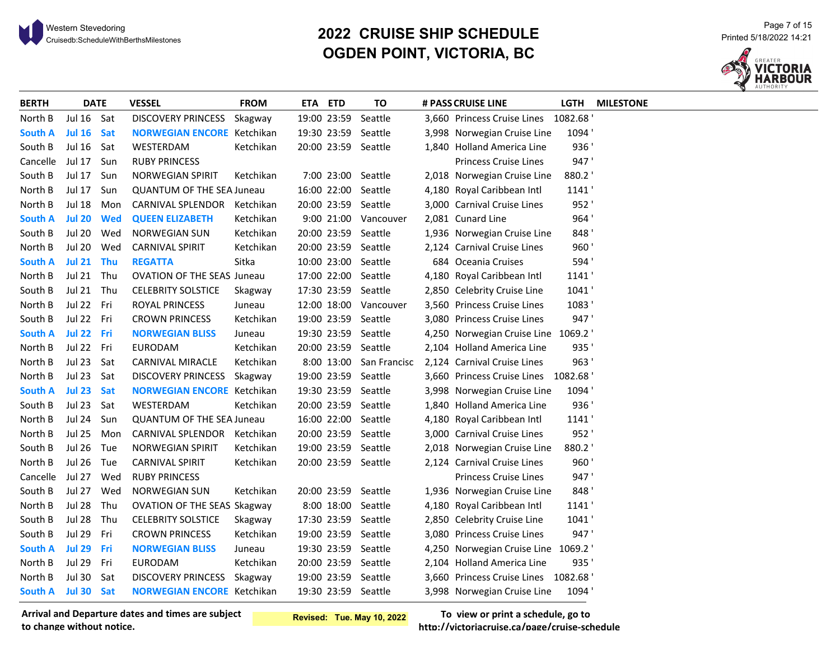# <sup>21</sup> <sup>Page 7</sup> of 15<br>20**22 CRUISE SHIP SCHEDULE** Printed 5/18/2022 14:21 Printed 5/18/2022 14:21<br>21:21 Printed 5/18/2022 14:21 Printed 5/18 **OGDEN POINT, VICTORIA, BC**



| <b>BERTH</b>   |               | <b>DATE</b> | <b>VESSEL</b>                      | <b>FROM</b> | ETA ETD     |             | TO                   | # PASS CRUISE LINE                  | LGTH  | <b>MILESTONE</b> |
|----------------|---------------|-------------|------------------------------------|-------------|-------------|-------------|----------------------|-------------------------------------|-------|------------------|
| North B        | Jul 16 Sat    |             | <b>DISCOVERY PRINCESS</b>          | Skagway     | 19:00 23:59 |             | Seattle              | 3,660 Princess Cruise Lines 1082.68 |       |                  |
| South A        | <b>Jul 16</b> | Sat         | <b>NORWEGIAN ENCORE</b> Ketchikan  |             |             | 19:30 23:59 | Seattle              | 3,998 Norwegian Cruise Line         | 1094' |                  |
| South B        | <b>Jul 16</b> | Sat         | WESTERDAM                          | Ketchikan   |             |             | 20:00 23:59 Seattle  | 1,840 Holland America Line          | 936   |                  |
| Cancelle       | <b>Jul 17</b> | Sun         | <b>RUBY PRINCESS</b>               |             |             |             |                      | Princess Cruise Lines               | 947'  |                  |
| South B        | <b>Jul 17</b> | Sun         | <b>NORWEGIAN SPIRIT</b>            | Ketchikan   |             |             | 7:00 23:00 Seattle   | 2,018 Norwegian Cruise Line         | 880.2 |                  |
| North B        | Jul 17        | Sun         | <b>QUANTUM OF THE SEA Juneau</b>   |             |             | 16:00 22:00 | Seattle              | 4,180 Royal Caribbean Intl          | 1141  |                  |
| North B        | <b>Jul 18</b> | Mon         | CARNIVAL SPLENDOR Ketchikan        |             |             |             | 20:00 23:59 Seattle  | 3,000 Carnival Cruise Lines         | 952'  |                  |
| <b>South A</b> | <b>Jul 20</b> | <b>Wed</b>  | <b>QUEEN ELIZABETH</b>             | Ketchikan   |             |             | 9:00 21:00 Vancouver | 2,081 Cunard Line                   | 964'  |                  |
| South B        | <b>Jul 20</b> | Wed         | <b>NORWEGIAN SUN</b>               | Ketchikan   |             |             | 20:00 23:59 Seattle  | 1,936 Norwegian Cruise Line         | 848   |                  |
| North B        | <b>Jul 20</b> | Wed         | <b>CARNIVAL SPIRIT</b>             | Ketchikan   |             |             | 20:00 23:59 Seattle  | 2,124 Carnival Cruise Lines         | 960'  |                  |
| <b>South A</b> | <b>Jul 21</b> | Thu         | <b>REGATTA</b>                     | Sitka       |             |             | 10:00 23:00 Seattle  | 684 Oceania Cruises                 | 594'  |                  |
| North B        | Jul 21        | Thu         | <b>OVATION OF THE SEAS Juneau</b>  |             | 17:00 22:00 |             | Seattle              | 4,180 Royal Caribbean Intl          | 1141  |                  |
| South B        | Jul 21 Thu    |             | <b>CELEBRITY SOLSTICE</b>          | Skagway     |             | 17:30 23:59 | Seattle              | 2,850 Celebrity Cruise Line         | 1041  |                  |
| North B        | Jul 22 Fri    |             | <b>ROYAL PRINCESS</b>              | Juneau      |             | 12:00 18:00 | Vancouver            | 3,560 Princess Cruise Lines         | 1083  |                  |
| South B        | Jul 22 Fri    |             | <b>CROWN PRINCESS</b>              | Ketchikan   |             | 19:00 23:59 | Seattle              | 3,080 Princess Cruise Lines         | 947'  |                  |
| <b>South A</b> | Jul 22 Fri    |             | <b>NORWEGIAN BLISS</b>             | Juneau      |             |             | 19:30 23:59 Seattle  | 4,250 Norwegian Cruise Line 1069.2  |       |                  |
| North B        | Jul 22 Fri    |             | <b>EURODAM</b>                     | Ketchikan   |             |             | 20:00 23:59 Seattle  | 2,104 Holland America Line          | 935   |                  |
| North B        | <b>Jul 23</b> | Sat         | CARNIVAL MIRACLE                   | Ketchikan   |             | 8:00 13:00  | San Francisc         | 2,124 Carnival Cruise Lines         | 963'  |                  |
| North B        | <b>Jul 23</b> | Sat         | <b>DISCOVERY PRINCESS</b>          | Skagway     |             |             | 19:00 23:59 Seattle  | 3,660 Princess Cruise Lines 1082.68 |       |                  |
| <b>South A</b> | <b>Jul 23</b> | <b>Sat</b>  | <b>NORWEGIAN ENCORE</b> Ketchikan  |             |             |             | 19:30 23:59 Seattle  | 3,998 Norwegian Cruise Line         | 1094' |                  |
| South B        | <b>Jul 23</b> | Sat         | WESTERDAM                          | Ketchikan   |             |             | 20:00 23:59 Seattle  | 1,840 Holland America Line          | 936'  |                  |
| North B        | <b>Jul 24</b> | Sun         | <b>QUANTUM OF THE SEA Juneau</b>   |             |             |             | 16:00 22:00 Seattle  | 4,180 Royal Caribbean Intl          | 1141  |                  |
| North B        | <b>Jul 25</b> | Mon         | CARNIVAL SPLENDOR Ketchikan        |             |             |             | 20:00 23:59 Seattle  | 3,000 Carnival Cruise Lines         | 952'  |                  |
| South B        | <b>Jul 26</b> | Tue         | <b>NORWEGIAN SPIRIT</b>            | Ketchikan   |             | 19:00 23:59 | Seattle              | 2,018 Norwegian Cruise Line         | 880.2 |                  |
| North B        | <b>Jul 26</b> | Tue         | <b>CARNIVAL SPIRIT</b>             | Ketchikan   |             |             | 20:00 23:59 Seattle  | 2,124 Carnival Cruise Lines         | 960'  |                  |
| Cancelle       | Jul 27        | Wed         | <b>RUBY PRINCESS</b>               |             |             |             |                      | <b>Princess Cruise Lines</b>        | 947'  |                  |
| South B        | <b>Jul 27</b> | Wed         | <b>NORWEGIAN SUN</b>               | Ketchikan   |             | 20:00 23:59 | Seattle              | 1,936 Norwegian Cruise Line         | 848'  |                  |
| North B        | <b>Jul 28</b> | Thu         | <b>OVATION OF THE SEAS Skagway</b> |             |             |             | 8:00 18:00 Seattle   | 4,180 Royal Caribbean Intl          | 1141  |                  |
| South B        | <b>Jul 28</b> | Thu         | <b>CELEBRITY SOLSTICE</b>          | Skagway     |             |             | 17:30 23:59 Seattle  | 2,850 Celebrity Cruise Line         | 1041  |                  |
| South B        | <b>Jul 29</b> | Fri         | <b>CROWN PRINCESS</b>              | Ketchikan   |             |             | 19:00 23:59 Seattle  | 3,080 Princess Cruise Lines         | 947'  |                  |
| <b>South A</b> | <b>Jul 29</b> | Fri         | <b>NORWEGIAN BLISS</b>             | Juneau      |             |             | 19:30 23:59 Seattle  | 4,250 Norwegian Cruise Line 1069.2  |       |                  |
| North B        | <b>Jul 29</b> | Fri         | <b>EURODAM</b>                     | Ketchikan   |             |             | 20:00 23:59 Seattle  | 2,104 Holland America Line          | 935   |                  |
| North B        | <b>Jul 30</b> | Sat         | DISCOVERY PRINCESS Skagway         |             |             |             | 19:00 23:59 Seattle  | 3,660 Princess Cruise Lines 1082.68 |       |                  |
| South A        | Jul 30 Sat    |             | <b>NORWEGIAN ENCORE Ketchikan</b>  |             |             |             | 19:30 23:59 Seattle  | 3,998 Norwegian Cruise Line         | 1094' |                  |

**Arrival and Departure dates and times are subject to change without notice.**

**Revised: Tue. May 10, 2022**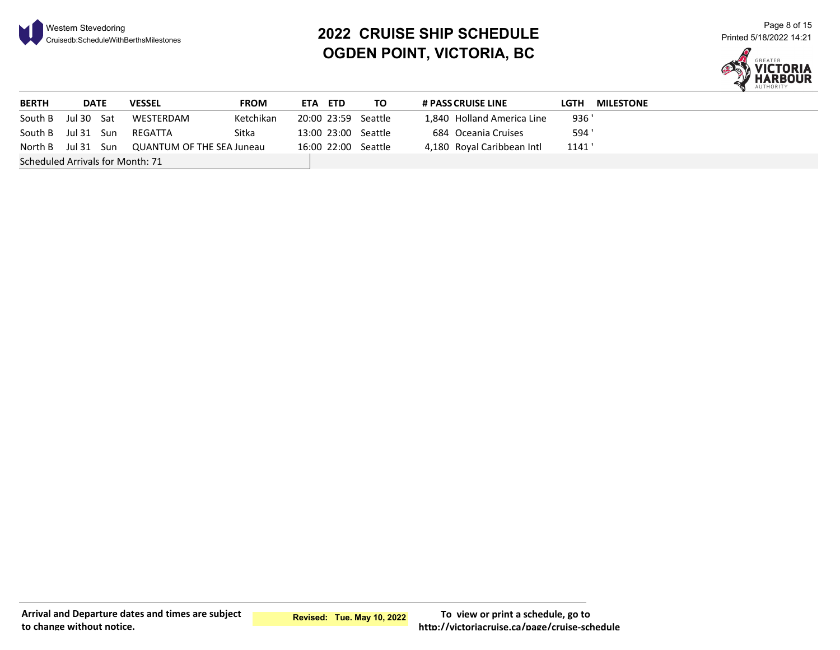

# <sup>21</sup> <sup>Page 8 of 15</sub><br>20**22 CRUISE SHIP SCHEDULE** Printed 5/18/2022 14:21 Printed 5/18/2022 14:21 Printed 5/18/2022 14:21</sup> **OGDEN POINT, VICTORIA, BC**



| <b>BERTH</b>                     | <b>DATE</b> | <b>VESSEL</b>                                | <b>FROM</b> | ETA | <b>ETD</b> | TO.                 | <b># PASS CRUISE LINE</b>  | LGTH  | <b>MILESTONE</b> |
|----------------------------------|-------------|----------------------------------------------|-------------|-----|------------|---------------------|----------------------------|-------|------------------|
| South B                          | Jul 30 Sat  | WESTERDAM                                    | Ketchikan   |     |            | 20:00 23:59 Seattle | 1,840 Holland America Line | 936'  |                  |
| South B Jul 31 Sun               |             | REGATTA                                      | Sitka       |     |            | 13:00 23:00 Seattle | 684 Oceania Cruises        | 594 ' |                  |
|                                  |             | North B Jul 31 Sun QUANTUM OF THE SEA Juneau |             |     |            | 16:00 22:00 Seattle | 4,180 Royal Caribbean Intl | 1141  |                  |
| Scheduled Arrivals for Month: 71 |             |                                              |             |     |            |                     |                            |       |                  |

**Arrival and Departure dates and times are subject to change without notice.**

**Revised: Tue. May 10, 2022**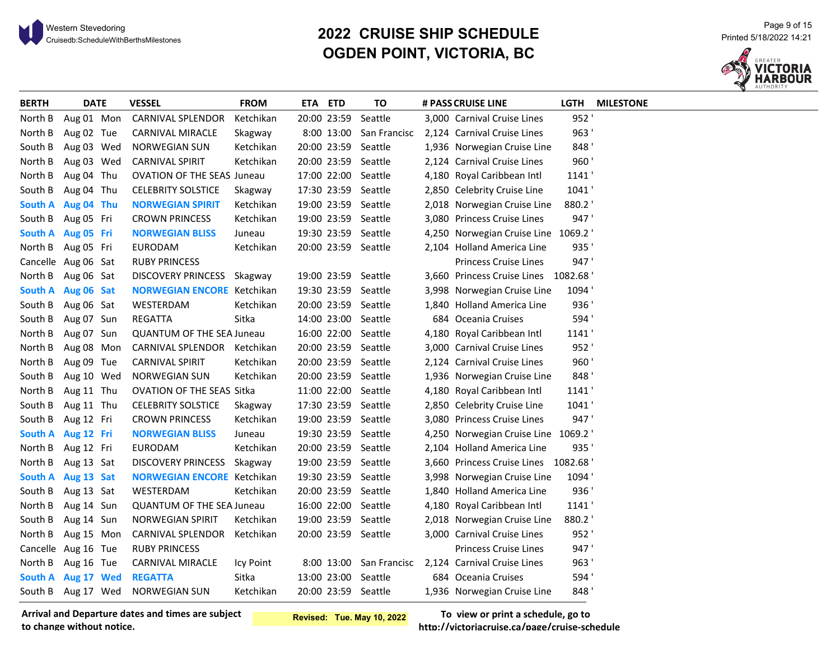# <sup>Page 9 of 15</sup><br>2022 CRUISE SHIP SCHEDULE Printed 5/18/2022 14:21 Printed 5/18/2022 14:21<br>21:21 Printed 5/18/2022 14:21 Printed 5 **OGDEN POINT, VICTORIA, BC**



|  | <b>VESSEL</b>                                                                                                                                                                                                                                                                                                                                                                                                                                                                                                                                                                                                             | <b>FROM</b> |                                                                                                                                                                                                                                                                                                                    | TO      |                                                                                                                                                                                                                                                                                                                                                                                                                                                                                                                                                                                                                                                                                                                                                                      |                              | <b>LGTH</b>                                                                                                                                                                                                                                                                                                                                                                                                                                                                                                                                                                                                                                                                                                                                                                                                                                                                                    | <b>MILESTONE</b>                                                                                                                                       |
|--|---------------------------------------------------------------------------------------------------------------------------------------------------------------------------------------------------------------------------------------------------------------------------------------------------------------------------------------------------------------------------------------------------------------------------------------------------------------------------------------------------------------------------------------------------------------------------------------------------------------------------|-------------|--------------------------------------------------------------------------------------------------------------------------------------------------------------------------------------------------------------------------------------------------------------------------------------------------------------------|---------|----------------------------------------------------------------------------------------------------------------------------------------------------------------------------------------------------------------------------------------------------------------------------------------------------------------------------------------------------------------------------------------------------------------------------------------------------------------------------------------------------------------------------------------------------------------------------------------------------------------------------------------------------------------------------------------------------------------------------------------------------------------------|------------------------------|------------------------------------------------------------------------------------------------------------------------------------------------------------------------------------------------------------------------------------------------------------------------------------------------------------------------------------------------------------------------------------------------------------------------------------------------------------------------------------------------------------------------------------------------------------------------------------------------------------------------------------------------------------------------------------------------------------------------------------------------------------------------------------------------------------------------------------------------------------------------------------------------|--------------------------------------------------------------------------------------------------------------------------------------------------------|
|  | CARNIVAL SPLENDOR                                                                                                                                                                                                                                                                                                                                                                                                                                                                                                                                                                                                         | Ketchikan   |                                                                                                                                                                                                                                                                                                                    |         |                                                                                                                                                                                                                                                                                                                                                                                                                                                                                                                                                                                                                                                                                                                                                                      |                              | 952'                                                                                                                                                                                                                                                                                                                                                                                                                                                                                                                                                                                                                                                                                                                                                                                                                                                                                           |                                                                                                                                                        |
|  | CARNIVAL MIRACLE                                                                                                                                                                                                                                                                                                                                                                                                                                                                                                                                                                                                          | Skagway     |                                                                                                                                                                                                                                                                                                                    |         |                                                                                                                                                                                                                                                                                                                                                                                                                                                                                                                                                                                                                                                                                                                                                                      |                              | 963'                                                                                                                                                                                                                                                                                                                                                                                                                                                                                                                                                                                                                                                                                                                                                                                                                                                                                           |                                                                                                                                                        |
|  | <b>NORWEGIAN SUN</b>                                                                                                                                                                                                                                                                                                                                                                                                                                                                                                                                                                                                      | Ketchikan   |                                                                                                                                                                                                                                                                                                                    |         |                                                                                                                                                                                                                                                                                                                                                                                                                                                                                                                                                                                                                                                                                                                                                                      |                              | 848'                                                                                                                                                                                                                                                                                                                                                                                                                                                                                                                                                                                                                                                                                                                                                                                                                                                                                           |                                                                                                                                                        |
|  | <b>CARNIVAL SPIRIT</b>                                                                                                                                                                                                                                                                                                                                                                                                                                                                                                                                                                                                    | Ketchikan   |                                                                                                                                                                                                                                                                                                                    |         |                                                                                                                                                                                                                                                                                                                                                                                                                                                                                                                                                                                                                                                                                                                                                                      |                              | 960'                                                                                                                                                                                                                                                                                                                                                                                                                                                                                                                                                                                                                                                                                                                                                                                                                                                                                           |                                                                                                                                                        |
|  |                                                                                                                                                                                                                                                                                                                                                                                                                                                                                                                                                                                                                           |             |                                                                                                                                                                                                                                                                                                                    |         |                                                                                                                                                                                                                                                                                                                                                                                                                                                                                                                                                                                                                                                                                                                                                                      |                              | 1141'                                                                                                                                                                                                                                                                                                                                                                                                                                                                                                                                                                                                                                                                                                                                                                                                                                                                                          |                                                                                                                                                        |
|  | <b>CELEBRITY SOLSTICE</b>                                                                                                                                                                                                                                                                                                                                                                                                                                                                                                                                                                                                 | Skagway     |                                                                                                                                                                                                                                                                                                                    |         |                                                                                                                                                                                                                                                                                                                                                                                                                                                                                                                                                                                                                                                                                                                                                                      |                              | 1041'                                                                                                                                                                                                                                                                                                                                                                                                                                                                                                                                                                                                                                                                                                                                                                                                                                                                                          |                                                                                                                                                        |
|  | <b>NORWEGIAN SPIRIT</b>                                                                                                                                                                                                                                                                                                                                                                                                                                                                                                                                                                                                   | Ketchikan   |                                                                                                                                                                                                                                                                                                                    |         |                                                                                                                                                                                                                                                                                                                                                                                                                                                                                                                                                                                                                                                                                                                                                                      |                              | 880.2                                                                                                                                                                                                                                                                                                                                                                                                                                                                                                                                                                                                                                                                                                                                                                                                                                                                                          |                                                                                                                                                        |
|  | <b>CROWN PRINCESS</b>                                                                                                                                                                                                                                                                                                                                                                                                                                                                                                                                                                                                     | Ketchikan   |                                                                                                                                                                                                                                                                                                                    |         |                                                                                                                                                                                                                                                                                                                                                                                                                                                                                                                                                                                                                                                                                                                                                                      |                              | 947'                                                                                                                                                                                                                                                                                                                                                                                                                                                                                                                                                                                                                                                                                                                                                                                                                                                                                           |                                                                                                                                                        |
|  | <b>NORWEGIAN BLISS</b>                                                                                                                                                                                                                                                                                                                                                                                                                                                                                                                                                                                                    | Juneau      |                                                                                                                                                                                                                                                                                                                    |         |                                                                                                                                                                                                                                                                                                                                                                                                                                                                                                                                                                                                                                                                                                                                                                      |                              |                                                                                                                                                                                                                                                                                                                                                                                                                                                                                                                                                                                                                                                                                                                                                                                                                                                                                                |                                                                                                                                                        |
|  | <b>EURODAM</b>                                                                                                                                                                                                                                                                                                                                                                                                                                                                                                                                                                                                            | Ketchikan   |                                                                                                                                                                                                                                                                                                                    |         |                                                                                                                                                                                                                                                                                                                                                                                                                                                                                                                                                                                                                                                                                                                                                                      |                              | 935'                                                                                                                                                                                                                                                                                                                                                                                                                                                                                                                                                                                                                                                                                                                                                                                                                                                                                           |                                                                                                                                                        |
|  | <b>RUBY PRINCESS</b>                                                                                                                                                                                                                                                                                                                                                                                                                                                                                                                                                                                                      |             |                                                                                                                                                                                                                                                                                                                    |         |                                                                                                                                                                                                                                                                                                                                                                                                                                                                                                                                                                                                                                                                                                                                                                      | <b>Princess Cruise Lines</b> | 947'                                                                                                                                                                                                                                                                                                                                                                                                                                                                                                                                                                                                                                                                                                                                                                                                                                                                                           |                                                                                                                                                        |
|  |                                                                                                                                                                                                                                                                                                                                                                                                                                                                                                                                                                                                                           |             |                                                                                                                                                                                                                                                                                                                    |         |                                                                                                                                                                                                                                                                                                                                                                                                                                                                                                                                                                                                                                                                                                                                                                      |                              |                                                                                                                                                                                                                                                                                                                                                                                                                                                                                                                                                                                                                                                                                                                                                                                                                                                                                                |                                                                                                                                                        |
|  |                                                                                                                                                                                                                                                                                                                                                                                                                                                                                                                                                                                                                           |             |                                                                                                                                                                                                                                                                                                                    |         |                                                                                                                                                                                                                                                                                                                                                                                                                                                                                                                                                                                                                                                                                                                                                                      |                              | 1094'                                                                                                                                                                                                                                                                                                                                                                                                                                                                                                                                                                                                                                                                                                                                                                                                                                                                                          |                                                                                                                                                        |
|  | WESTERDAM                                                                                                                                                                                                                                                                                                                                                                                                                                                                                                                                                                                                                 | Ketchikan   |                                                                                                                                                                                                                                                                                                                    |         |                                                                                                                                                                                                                                                                                                                                                                                                                                                                                                                                                                                                                                                                                                                                                                      |                              | 936'                                                                                                                                                                                                                                                                                                                                                                                                                                                                                                                                                                                                                                                                                                                                                                                                                                                                                           |                                                                                                                                                        |
|  | REGATTA                                                                                                                                                                                                                                                                                                                                                                                                                                                                                                                                                                                                                   | Sitka       |                                                                                                                                                                                                                                                                                                                    |         |                                                                                                                                                                                                                                                                                                                                                                                                                                                                                                                                                                                                                                                                                                                                                                      |                              | 594'                                                                                                                                                                                                                                                                                                                                                                                                                                                                                                                                                                                                                                                                                                                                                                                                                                                                                           |                                                                                                                                                        |
|  |                                                                                                                                                                                                                                                                                                                                                                                                                                                                                                                                                                                                                           |             |                                                                                                                                                                                                                                                                                                                    |         |                                                                                                                                                                                                                                                                                                                                                                                                                                                                                                                                                                                                                                                                                                                                                                      |                              | 1141                                                                                                                                                                                                                                                                                                                                                                                                                                                                                                                                                                                                                                                                                                                                                                                                                                                                                           |                                                                                                                                                        |
|  |                                                                                                                                                                                                                                                                                                                                                                                                                                                                                                                                                                                                                           |             |                                                                                                                                                                                                                                                                                                                    |         |                                                                                                                                                                                                                                                                                                                                                                                                                                                                                                                                                                                                                                                                                                                                                                      |                              | 952'                                                                                                                                                                                                                                                                                                                                                                                                                                                                                                                                                                                                                                                                                                                                                                                                                                                                                           |                                                                                                                                                        |
|  | <b>CARNIVAL SPIRIT</b>                                                                                                                                                                                                                                                                                                                                                                                                                                                                                                                                                                                                    | Ketchikan   |                                                                                                                                                                                                                                                                                                                    |         |                                                                                                                                                                                                                                                                                                                                                                                                                                                                                                                                                                                                                                                                                                                                                                      |                              | 960'                                                                                                                                                                                                                                                                                                                                                                                                                                                                                                                                                                                                                                                                                                                                                                                                                                                                                           |                                                                                                                                                        |
|  | <b>NORWEGIAN SUN</b>                                                                                                                                                                                                                                                                                                                                                                                                                                                                                                                                                                                                      | Ketchikan   |                                                                                                                                                                                                                                                                                                                    |         |                                                                                                                                                                                                                                                                                                                                                                                                                                                                                                                                                                                                                                                                                                                                                                      |                              | 848'                                                                                                                                                                                                                                                                                                                                                                                                                                                                                                                                                                                                                                                                                                                                                                                                                                                                                           |                                                                                                                                                        |
|  |                                                                                                                                                                                                                                                                                                                                                                                                                                                                                                                                                                                                                           |             |                                                                                                                                                                                                                                                                                                                    |         |                                                                                                                                                                                                                                                                                                                                                                                                                                                                                                                                                                                                                                                                                                                                                                      |                              | 1141'                                                                                                                                                                                                                                                                                                                                                                                                                                                                                                                                                                                                                                                                                                                                                                                                                                                                                          |                                                                                                                                                        |
|  | <b>CELEBRITY SOLSTICE</b>                                                                                                                                                                                                                                                                                                                                                                                                                                                                                                                                                                                                 | Skagway     |                                                                                                                                                                                                                                                                                                                    |         |                                                                                                                                                                                                                                                                                                                                                                                                                                                                                                                                                                                                                                                                                                                                                                      |                              | 1041'                                                                                                                                                                                                                                                                                                                                                                                                                                                                                                                                                                                                                                                                                                                                                                                                                                                                                          |                                                                                                                                                        |
|  | <b>CROWN PRINCESS</b>                                                                                                                                                                                                                                                                                                                                                                                                                                                                                                                                                                                                     | Ketchikan   |                                                                                                                                                                                                                                                                                                                    |         |                                                                                                                                                                                                                                                                                                                                                                                                                                                                                                                                                                                                                                                                                                                                                                      |                              | 947'                                                                                                                                                                                                                                                                                                                                                                                                                                                                                                                                                                                                                                                                                                                                                                                                                                                                                           |                                                                                                                                                        |
|  | <b>NORWEGIAN BLISS</b>                                                                                                                                                                                                                                                                                                                                                                                                                                                                                                                                                                                                    | Juneau      |                                                                                                                                                                                                                                                                                                                    |         |                                                                                                                                                                                                                                                                                                                                                                                                                                                                                                                                                                                                                                                                                                                                                                      |                              |                                                                                                                                                                                                                                                                                                                                                                                                                                                                                                                                                                                                                                                                                                                                                                                                                                                                                                |                                                                                                                                                        |
|  | <b>EURODAM</b>                                                                                                                                                                                                                                                                                                                                                                                                                                                                                                                                                                                                            | Ketchikan   |                                                                                                                                                                                                                                                                                                                    |         |                                                                                                                                                                                                                                                                                                                                                                                                                                                                                                                                                                                                                                                                                                                                                                      |                              | 935'                                                                                                                                                                                                                                                                                                                                                                                                                                                                                                                                                                                                                                                                                                                                                                                                                                                                                           |                                                                                                                                                        |
|  |                                                                                                                                                                                                                                                                                                                                                                                                                                                                                                                                                                                                                           |             |                                                                                                                                                                                                                                                                                                                    |         |                                                                                                                                                                                                                                                                                                                                                                                                                                                                                                                                                                                                                                                                                                                                                                      |                              |                                                                                                                                                                                                                                                                                                                                                                                                                                                                                                                                                                                                                                                                                                                                                                                                                                                                                                |                                                                                                                                                        |
|  |                                                                                                                                                                                                                                                                                                                                                                                                                                                                                                                                                                                                                           |             |                                                                                                                                                                                                                                                                                                                    |         |                                                                                                                                                                                                                                                                                                                                                                                                                                                                                                                                                                                                                                                                                                                                                                      |                              | 1094'                                                                                                                                                                                                                                                                                                                                                                                                                                                                                                                                                                                                                                                                                                                                                                                                                                                                                          |                                                                                                                                                        |
|  | WESTERDAM                                                                                                                                                                                                                                                                                                                                                                                                                                                                                                                                                                                                                 | Ketchikan   |                                                                                                                                                                                                                                                                                                                    |         |                                                                                                                                                                                                                                                                                                                                                                                                                                                                                                                                                                                                                                                                                                                                                                      |                              | 936'                                                                                                                                                                                                                                                                                                                                                                                                                                                                                                                                                                                                                                                                                                                                                                                                                                                                                           |                                                                                                                                                        |
|  |                                                                                                                                                                                                                                                                                                                                                                                                                                                                                                                                                                                                                           |             |                                                                                                                                                                                                                                                                                                                    |         |                                                                                                                                                                                                                                                                                                                                                                                                                                                                                                                                                                                                                                                                                                                                                                      |                              | 1141                                                                                                                                                                                                                                                                                                                                                                                                                                                                                                                                                                                                                                                                                                                                                                                                                                                                                           |                                                                                                                                                        |
|  | <b>NORWEGIAN SPIRIT</b>                                                                                                                                                                                                                                                                                                                                                                                                                                                                                                                                                                                                   | Ketchikan   |                                                                                                                                                                                                                                                                                                                    |         |                                                                                                                                                                                                                                                                                                                                                                                                                                                                                                                                                                                                                                                                                                                                                                      |                              | 880.2                                                                                                                                                                                                                                                                                                                                                                                                                                                                                                                                                                                                                                                                                                                                                                                                                                                                                          |                                                                                                                                                        |
|  | CARNIVAL SPLENDOR                                                                                                                                                                                                                                                                                                                                                                                                                                                                                                                                                                                                         | Ketchikan   |                                                                                                                                                                                                                                                                                                                    |         |                                                                                                                                                                                                                                                                                                                                                                                                                                                                                                                                                                                                                                                                                                                                                                      |                              | 952'                                                                                                                                                                                                                                                                                                                                                                                                                                                                                                                                                                                                                                                                                                                                                                                                                                                                                           |                                                                                                                                                        |
|  | <b>RUBY PRINCESS</b>                                                                                                                                                                                                                                                                                                                                                                                                                                                                                                                                                                                                      |             |                                                                                                                                                                                                                                                                                                                    |         |                                                                                                                                                                                                                                                                                                                                                                                                                                                                                                                                                                                                                                                                                                                                                                      | <b>Princess Cruise Lines</b> | 947'                                                                                                                                                                                                                                                                                                                                                                                                                                                                                                                                                                                                                                                                                                                                                                                                                                                                                           |                                                                                                                                                        |
|  | <b>CARNIVAL MIRACLE</b>                                                                                                                                                                                                                                                                                                                                                                                                                                                                                                                                                                                                   | Icy Point   |                                                                                                                                                                                                                                                                                                                    |         |                                                                                                                                                                                                                                                                                                                                                                                                                                                                                                                                                                                                                                                                                                                                                                      |                              | 963'                                                                                                                                                                                                                                                                                                                                                                                                                                                                                                                                                                                                                                                                                                                                                                                                                                                                                           |                                                                                                                                                        |
|  | <b>REGATTA</b>                                                                                                                                                                                                                                                                                                                                                                                                                                                                                                                                                                                                            | Sitka       |                                                                                                                                                                                                                                                                                                                    |         |                                                                                                                                                                                                                                                                                                                                                                                                                                                                                                                                                                                                                                                                                                                                                                      |                              | 594'                                                                                                                                                                                                                                                                                                                                                                                                                                                                                                                                                                                                                                                                                                                                                                                                                                                                                           |                                                                                                                                                        |
|  | <b>NORWEGIAN SUN</b>                                                                                                                                                                                                                                                                                                                                                                                                                                                                                                                                                                                                      | Ketchikan   |                                                                                                                                                                                                                                                                                                                    |         |                                                                                                                                                                                                                                                                                                                                                                                                                                                                                                                                                                                                                                                                                                                                                                      |                              | 848                                                                                                                                                                                                                                                                                                                                                                                                                                                                                                                                                                                                                                                                                                                                                                                                                                                                                            |                                                                                                                                                        |
|  | <b>DATE</b><br>Aug 01 Mon<br>Aug 02 Tue<br>Aug 03 Wed<br>Aug 03 Wed<br>Aug 04 Thu<br>Aug 04 Thu<br>South A Aug 04 Thu<br>Aug 05 Fri<br>South A Aug 05 Fri<br>Aug 05 Fri<br>Cancelle Aug 06 Sat<br>North B Aug 06 Sat<br>South A Aug 06 Sat<br>South B Aug 06 Sat<br>Aug 07 Sun<br>Aug 07 Sun<br>Aug 08 Mon<br>Aug 09 Tue<br>Aug 10 Wed<br>Aug 11 Thu<br>Aug 11 Thu<br>South B Aug 12 Fri<br>South A Aug 12 Fri<br>Aug 12 Fri<br>Aug 13 Sat<br>South A Aug 13 Sat<br>South B Aug 13 Sat<br>Aug 14 Sun<br>Aug 14 Sun<br>Aug 15 Mon<br>Cancelle Aug 16 Tue<br>North B Aug 16 Tue<br>South A Aug 17 Wed<br>South B Aug 17 Wed |             | <b>OVATION OF THE SEAS Juneau</b><br>DISCOVERY PRINCESS Skagway<br><b>NORWEGIAN ENCORE</b> Ketchikan<br><b>QUANTUM OF THE SEA Juneau</b><br>CARNIVAL SPLENDOR Ketchikan<br><b>OVATION OF THE SEAS Sitka</b><br>DISCOVERY PRINCESS Skagway<br><b>NORWEGIAN ENCORE</b> Ketchikan<br><b>QUANTUM OF THE SEA Juneau</b> | ETA ETD | 20:00 23:59 Seattle<br>8:00 13:00 San Francisc<br>20:00 23:59 Seattle<br>20:00 23:59 Seattle<br>17:00 22:00 Seattle<br>17:30 23:59 Seattle<br>19:00 23:59 Seattle<br>19:00 23:59 Seattle<br>19:30 23:59 Seattle<br>20:00 23:59 Seattle<br>19:00 23:59 Seattle<br>19:30 23:59 Seattle<br>20:00 23:59 Seattle<br>14:00 23:00 Seattle<br>16:00 22:00 Seattle<br>20:00 23:59 Seattle<br>20:00 23:59 Seattle<br>20:00 23:59 Seattle<br>11:00 22:00 Seattle<br>17:30 23:59 Seattle<br>19:00 23:59 Seattle<br>19:30 23:59 Seattle<br>20:00 23:59 Seattle<br>19:00 23:59 Seattle<br>19:30 23:59 Seattle<br>20:00 23:59 Seattle<br>16:00 22:00 Seattle<br>19:00 23:59 Seattle<br>20:00 23:59 Seattle<br>8:00 13:00 San Francisc<br>13:00 23:00 Seattle<br>20:00 23:59 Seattle |                              | # PASS CRUISE LINE<br>3,000 Carnival Cruise Lines<br>2,124 Carnival Cruise Lines<br>1,936 Norwegian Cruise Line<br>2,124 Carnival Cruise Lines<br>4,180 Royal Caribbean Intl<br>2,850 Celebrity Cruise Line<br>2,018 Norwegian Cruise Line<br>3,080 Princess Cruise Lines<br>2,104 Holland America Line<br>3,998 Norwegian Cruise Line<br>1,840 Holland America Line<br>684 Oceania Cruises<br>4,180 Royal Caribbean Intl<br>3,000 Carnival Cruise Lines<br>2,124 Carnival Cruise Lines<br>1,936 Norwegian Cruise Line<br>4,180 Royal Caribbean Intl<br>2,850 Celebrity Cruise Line<br>3,080 Princess Cruise Lines<br>2,104 Holland America Line<br>3,998 Norwegian Cruise Line<br>1,840 Holland America Line<br>4,180 Royal Caribbean Intl<br>2,018 Norwegian Cruise Line<br>3,000 Carnival Cruise Lines<br>2,124 Carnival Cruise Lines<br>684 Oceania Cruises<br>1,936 Norwegian Cruise Line | 4,250 Norwegian Cruise Line 1069.2<br>3,660 Princess Cruise Lines 1082.68<br>4,250 Norwegian Cruise Line 1069.2<br>3,660 Princess Cruise Lines 1082.68 |

**Arrival and Departure dates and times are subject to change without notice.**

**Revised: Tue. May 10, 2022**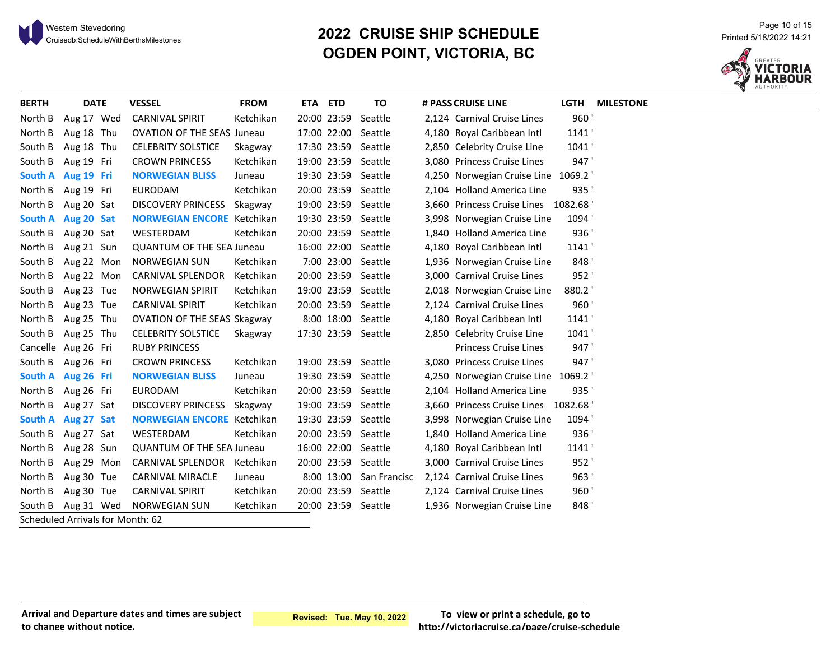

# <sup>21 Page 10 of 15</sub> Page 10 of 15<br>Cruisedb:ScheduleWithBerthsMilestones **Page 10 of 15 Printed 5/18/2022 14:21** Printed 5/18/2022 14:21</sup> **OGDEN POINT, VICTORIA, BC**



| <b>BERTH</b> | <b>DATE</b>                      | <b>VESSEL</b>                      | <b>FROM</b> | ETA ETD             | ΤO                      | # PASS CRUISE LINE                  |       | LGTH MILESTONE |
|--------------|----------------------------------|------------------------------------|-------------|---------------------|-------------------------|-------------------------------------|-------|----------------|
| North B      | Aug 17 Wed                       | <b>CARNIVAL SPIRIT</b>             | Ketchikan   | 20:00 23:59         | Seattle                 | 2,124 Carnival Cruise Lines         | 960'  |                |
| North B      | Aug 18 Thu                       | <b>OVATION OF THE SEAS Juneau</b>  |             | 17:00 22:00         | Seattle                 | 4,180 Royal Caribbean Intl          | 1141' |                |
| South B      | Aug 18 Thu                       | <b>CELEBRITY SOLSTICE</b>          | Skagway     | 17:30 23:59 Seattle |                         | 2,850 Celebrity Cruise Line         | 1041' |                |
| South B      | Aug 19 Fri                       | <b>CROWN PRINCESS</b>              | Ketchikan   | 19:00 23:59 Seattle |                         | 3,080 Princess Cruise Lines         | 947'  |                |
|              | South A Aug 19 Fri               | <b>NORWEGIAN BLISS</b>             | Juneau      | 19:30 23:59 Seattle |                         | 4,250 Norwegian Cruise Line 1069.2  |       |                |
| North B      | Aug 19 Fri                       | <b>EURODAM</b>                     | Ketchikan   | 20:00 23:59 Seattle |                         | 2,104 Holland America Line          | 935'  |                |
| North B      | Aug 20 Sat                       | DISCOVERY PRINCESS Skagway         |             | 19:00 23:59 Seattle |                         | 3,660 Princess Cruise Lines 1082.68 |       |                |
|              | South A Aug 20 Sat               | <b>NORWEGIAN ENCORE</b> Ketchikan  |             | 19:30 23:59 Seattle |                         | 3,998 Norwegian Cruise Line         | 1094' |                |
| South B      | Aug 20 Sat                       | WESTERDAM                          | Ketchikan   | 20:00 23:59 Seattle |                         | 1,840 Holland America Line          | 936'  |                |
| North B      | Aug 21 Sun                       | <b>QUANTUM OF THE SEA Juneau</b>   |             | 16:00 22:00 Seattle |                         | 4,180 Royal Caribbean Intl          | 1141' |                |
| South B      | Aug 22 Mon                       | <b>NORWEGIAN SUN</b>               | Ketchikan   | 7:00 23:00 Seattle  |                         | 1,936 Norwegian Cruise Line         | 848'  |                |
| North B      | Aug 22 Mon                       | <b>CARNIVAL SPLENDOR</b>           | Ketchikan   | 20:00 23:59 Seattle |                         | 3,000 Carnival Cruise Lines         | 952'  |                |
| South B      | Aug 23 Tue                       | <b>NORWEGIAN SPIRIT</b>            | Ketchikan   | 19:00 23:59 Seattle |                         | 2,018 Norwegian Cruise Line         | 880.2 |                |
| North B      | Aug 23 Tue                       | <b>CARNIVAL SPIRIT</b>             | Ketchikan   | 20:00 23:59 Seattle |                         | 2,124 Carnival Cruise Lines         | 960'  |                |
| North B      | Aug 25 Thu                       | <b>OVATION OF THE SEAS Skagway</b> |             | 8:00 18:00 Seattle  |                         | 4,180 Royal Caribbean Intl          | 1141' |                |
| South B      | Aug 25 Thu                       | <b>CELEBRITY SOLSTICE</b>          | Skagway     | 17:30 23:59 Seattle |                         | 2,850 Celebrity Cruise Line         | 1041' |                |
|              | Cancelle Aug 26 Fri              | <b>RUBY PRINCESS</b>               |             |                     |                         | Princess Cruise Lines               | 947'  |                |
| South B      | Aug 26 Fri                       | <b>CROWN PRINCESS</b>              | Ketchikan   | 19:00 23:59 Seattle |                         | 3,080 Princess Cruise Lines         | 947'  |                |
|              | South A Aug 26 Fri               | <b>NORWEGIAN BLISS</b>             | Juneau      | 19:30 23:59 Seattle |                         | 4,250 Norwegian Cruise Line 1069.2  |       |                |
| North B      | Aug 26 Fri                       | <b>EURODAM</b>                     | Ketchikan   | 20:00 23:59 Seattle |                         | 2,104 Holland America Line          | 935'  |                |
| North B      | Aug 27 Sat                       | DISCOVERY PRINCESS Skagway         |             | 19:00 23:59 Seattle |                         | 3,660 Princess Cruise Lines 1082.68 |       |                |
|              | South A Aug 27 Sat               | <b>NORWEGIAN ENCORE</b> Ketchikan  |             | 19:30 23:59 Seattle |                         | 3,998 Norwegian Cruise Line         | 1094' |                |
| South B      | Aug 27 Sat                       | WESTERDAM                          | Ketchikan   | 20:00 23:59 Seattle |                         | 1,840 Holland America Line          | 936'  |                |
| North B      | Aug 28 Sun                       | <b>QUANTUM OF THE SEA Juneau</b>   |             | 16:00 22:00 Seattle |                         | 4,180 Royal Caribbean Intl          | 1141' |                |
| North B      | Aug 29 Mon                       | CARNIVAL SPLENDOR Ketchikan        |             | 20:00 23:59 Seattle |                         | 3,000 Carnival Cruise Lines         | 952'  |                |
| North B      | Aug 30 Tue                       | <b>CARNIVAL MIRACLE</b>            | Juneau      |                     | 8:00 13:00 San Francisc | 2,124 Carnival Cruise Lines         | 963'  |                |
| North B      | Aug 30 Tue                       | <b>CARNIVAL SPIRIT</b>             | Ketchikan   | 20:00 23:59 Seattle |                         | 2,124 Carnival Cruise Lines         | 960'  |                |
|              | South B Aug 31 Wed               | <b>NORWEGIAN SUN</b>               | Ketchikan   | 20:00 23:59 Seattle |                         | 1,936 Norwegian Cruise Line         | 848'  |                |
|              | Scheduled Arrivals for Month: 62 |                                    |             |                     |                         |                                     |       |                |

#### **Arrival and Departure dates and times are subject to change without notice.**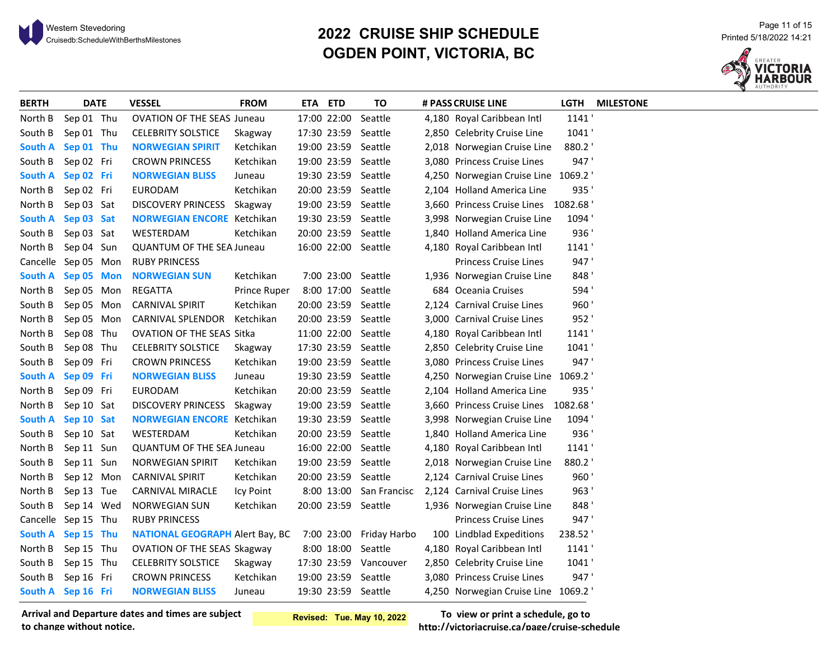# <sup>21 Page 11 of 15</sub><br>20**22 CRUISE SHIP SCHEDULE** Printed 5/18/2022 14:21 Printed 5/18/2022 14:21<br>2022 Cruisedb:ScheduleWithBerthsMilestones</sup> **OGDEN POINT, VICTORIA, BC**



| 1141<br>Sep 01 Thu<br>17:00 22:00<br>4,180 Royal Caribbean Intl<br>North B<br><b>OVATION OF THE SEAS Juneau</b><br>Seattle<br>1041'<br>South B<br>Sep 01 Thu<br><b>CELEBRITY SOLSTICE</b><br>17:30 23:59<br>Seattle<br>2,850 Celebrity Cruise Line<br>Skagway<br><b>South A</b><br>19:00 23:59<br>Seattle<br>2,018 Norwegian Cruise Line<br>880.2<br>Sep 01 Thu<br><b>NORWEGIAN SPIRIT</b><br>Ketchikan<br>947'<br>South B<br>Sep 02 Fri<br><b>CROWN PRINCESS</b><br>Ketchikan<br>19:00 23:59<br>Seattle<br>3,080 Princess Cruise Lines<br>4,250 Norwegian Cruise Line 1069.2<br>South A Sep 02 Fri<br><b>NORWEGIAN BLISS</b><br>19:30 23:59<br>Seattle<br>Juneau<br>935'<br>North B<br>Ketchikan<br>20:00 23:59 Seattle<br>Sep 02 Fri<br><b>EURODAM</b><br>2,104 Holland America Line<br>19:00 23:59 Seattle<br>3,660 Princess Cruise Lines 1082.68<br>North B<br>Sep 03 Sat<br>DISCOVERY PRINCESS Skagway<br>1094<br><b>South A</b><br>Sep 03 Sat<br><b>NORWEGIAN ENCORE</b> Ketchikan<br>19:30 23:59<br>Seattle<br>3,998 Norwegian Cruise Line<br>936'<br>South B<br>Sep 03 Sat<br>20:00 23:59 Seattle<br>WESTERDAM<br>Ketchikan<br>1,840 Holland America Line<br>16:00 22:00 Seattle<br>1141<br>North B<br>Sep 04 Sun<br><b>QUANTUM OF THE SEA Juneau</b><br>4,180 Royal Caribbean Intl<br>947'<br>Cancelle Sep 05 Mon<br><b>RUBY PRINCESS</b><br>Princess Cruise Lines<br>848'<br>South A Sep 05 Mon<br><b>NORWEGIAN SUN</b><br>Ketchikan<br>7:00 23:00<br>Seattle<br>1,936 Norwegian Cruise Line<br>594'<br>North B<br><b>REGATTA</b><br>8:00 17:00<br>684 Oceania Cruises<br>Sep 05 Mon<br>Prince Ruper<br>Seattle<br>960'<br>South B<br>Sep 05 Mon<br><b>CARNIVAL SPIRIT</b><br>Ketchikan<br>20:00 23:59<br>Seattle<br>2,124 Carnival Cruise Lines<br>952'<br>North B<br>Sep 05 Mon<br>CARNIVAL SPLENDOR<br>Ketchikan<br>20:00 23:59<br>Seattle<br>3,000 Carnival Cruise Lines<br>North B<br>Sep 08 Thu<br>11:00 22:00<br>1141<br><b>OVATION OF THE SEAS Sitka</b><br>Seattle<br>4,180 Royal Caribbean Intl<br>17:30 23:59<br>Seattle<br>1041'<br>South B<br>Sep 08 Thu<br><b>CELEBRITY SOLSTICE</b><br>2,850 Celebrity Cruise Line<br>Skagway<br>947'<br>South B<br>Sep 09 Fri<br><b>CROWN PRINCESS</b><br>Ketchikan<br>19:00 23:59<br>Seattle<br>3,080 Princess Cruise Lines<br>19:30 23:59 Seattle<br>4,250 Norwegian Cruise Line 1069.2<br><b>South A</b><br>Sep 09 Fri<br><b>NORWEGIAN BLISS</b><br>Juneau<br>20:00 23:59 Seattle<br>935'<br>North B<br>Sep 09 Fri<br><b>EURODAM</b><br>Ketchikan<br>2,104 Holland America Line<br>3,660 Princess Cruise Lines 1082.68<br>North B<br><b>DISCOVERY PRINCESS</b><br>19:00 23:59 Seattle<br>Sep 10 Sat<br>Skagway<br>19:30 23:59 Seattle<br>1094'<br>South A<br>Sep 10 Sat<br><b>NORWEGIAN ENCORE</b> Ketchikan<br>3,998 Norwegian Cruise Line<br>936'<br>South B<br>Sep 10 Sat<br>WESTERDAM<br>Ketchikan<br>20:00 23:59 Seattle<br>1,840 Holland America Line<br>1141<br>North B<br>16:00 22:00 Seattle<br>4,180 Royal Caribbean Intl<br>Sep 11 Sun<br><b>QUANTUM OF THE SEA Juneau</b><br>880.2<br>South B<br>19:00 23:59<br>2,018 Norwegian Cruise Line<br>Sep 11 Sun<br><b>NORWEGIAN SPIRIT</b><br>Ketchikan<br>Seattle<br>960'<br>North B<br>Sep 12 Mon<br><b>CARNIVAL SPIRIT</b><br>Ketchikan<br>20:00 23:59<br>Seattle<br>2,124 Carnival Cruise Lines | <b>BERTH</b> | <b>DATE</b> | VESSEL | <b>FROM</b> | ETA ETD | TO | # PASS CRUISE LINE | LGTH | <b>MILESTONE</b> |
|------------------------------------------------------------------------------------------------------------------------------------------------------------------------------------------------------------------------------------------------------------------------------------------------------------------------------------------------------------------------------------------------------------------------------------------------------------------------------------------------------------------------------------------------------------------------------------------------------------------------------------------------------------------------------------------------------------------------------------------------------------------------------------------------------------------------------------------------------------------------------------------------------------------------------------------------------------------------------------------------------------------------------------------------------------------------------------------------------------------------------------------------------------------------------------------------------------------------------------------------------------------------------------------------------------------------------------------------------------------------------------------------------------------------------------------------------------------------------------------------------------------------------------------------------------------------------------------------------------------------------------------------------------------------------------------------------------------------------------------------------------------------------------------------------------------------------------------------------------------------------------------------------------------------------------------------------------------------------------------------------------------------------------------------------------------------------------------------------------------------------------------------------------------------------------------------------------------------------------------------------------------------------------------------------------------------------------------------------------------------------------------------------------------------------------------------------------------------------------------------------------------------------------------------------------------------------------------------------------------------------------------------------------------------------------------------------------------------------------------------------------------------------------------------------------------------------------------------------------------------------------------------------------------------------------------------------------------------------------------------------------------------------------------------------------------------------------------------------------------------------------------------------------------------------------------------------------------------------------------------------------------------------------------------------------------------|--------------|-------------|--------|-------------|---------|----|--------------------|------|------------------|
|                                                                                                                                                                                                                                                                                                                                                                                                                                                                                                                                                                                                                                                                                                                                                                                                                                                                                                                                                                                                                                                                                                                                                                                                                                                                                                                                                                                                                                                                                                                                                                                                                                                                                                                                                                                                                                                                                                                                                                                                                                                                                                                                                                                                                                                                                                                                                                                                                                                                                                                                                                                                                                                                                                                                                                                                                                                                                                                                                                                                                                                                                                                                                                                                                                                                                                                        |              |             |        |             |         |    |                    |      |                  |
|                                                                                                                                                                                                                                                                                                                                                                                                                                                                                                                                                                                                                                                                                                                                                                                                                                                                                                                                                                                                                                                                                                                                                                                                                                                                                                                                                                                                                                                                                                                                                                                                                                                                                                                                                                                                                                                                                                                                                                                                                                                                                                                                                                                                                                                                                                                                                                                                                                                                                                                                                                                                                                                                                                                                                                                                                                                                                                                                                                                                                                                                                                                                                                                                                                                                                                                        |              |             |        |             |         |    |                    |      |                  |
|                                                                                                                                                                                                                                                                                                                                                                                                                                                                                                                                                                                                                                                                                                                                                                                                                                                                                                                                                                                                                                                                                                                                                                                                                                                                                                                                                                                                                                                                                                                                                                                                                                                                                                                                                                                                                                                                                                                                                                                                                                                                                                                                                                                                                                                                                                                                                                                                                                                                                                                                                                                                                                                                                                                                                                                                                                                                                                                                                                                                                                                                                                                                                                                                                                                                                                                        |              |             |        |             |         |    |                    |      |                  |
|                                                                                                                                                                                                                                                                                                                                                                                                                                                                                                                                                                                                                                                                                                                                                                                                                                                                                                                                                                                                                                                                                                                                                                                                                                                                                                                                                                                                                                                                                                                                                                                                                                                                                                                                                                                                                                                                                                                                                                                                                                                                                                                                                                                                                                                                                                                                                                                                                                                                                                                                                                                                                                                                                                                                                                                                                                                                                                                                                                                                                                                                                                                                                                                                                                                                                                                        |              |             |        |             |         |    |                    |      |                  |
|                                                                                                                                                                                                                                                                                                                                                                                                                                                                                                                                                                                                                                                                                                                                                                                                                                                                                                                                                                                                                                                                                                                                                                                                                                                                                                                                                                                                                                                                                                                                                                                                                                                                                                                                                                                                                                                                                                                                                                                                                                                                                                                                                                                                                                                                                                                                                                                                                                                                                                                                                                                                                                                                                                                                                                                                                                                                                                                                                                                                                                                                                                                                                                                                                                                                                                                        |              |             |        |             |         |    |                    |      |                  |
|                                                                                                                                                                                                                                                                                                                                                                                                                                                                                                                                                                                                                                                                                                                                                                                                                                                                                                                                                                                                                                                                                                                                                                                                                                                                                                                                                                                                                                                                                                                                                                                                                                                                                                                                                                                                                                                                                                                                                                                                                                                                                                                                                                                                                                                                                                                                                                                                                                                                                                                                                                                                                                                                                                                                                                                                                                                                                                                                                                                                                                                                                                                                                                                                                                                                                                                        |              |             |        |             |         |    |                    |      |                  |
|                                                                                                                                                                                                                                                                                                                                                                                                                                                                                                                                                                                                                                                                                                                                                                                                                                                                                                                                                                                                                                                                                                                                                                                                                                                                                                                                                                                                                                                                                                                                                                                                                                                                                                                                                                                                                                                                                                                                                                                                                                                                                                                                                                                                                                                                                                                                                                                                                                                                                                                                                                                                                                                                                                                                                                                                                                                                                                                                                                                                                                                                                                                                                                                                                                                                                                                        |              |             |        |             |         |    |                    |      |                  |
|                                                                                                                                                                                                                                                                                                                                                                                                                                                                                                                                                                                                                                                                                                                                                                                                                                                                                                                                                                                                                                                                                                                                                                                                                                                                                                                                                                                                                                                                                                                                                                                                                                                                                                                                                                                                                                                                                                                                                                                                                                                                                                                                                                                                                                                                                                                                                                                                                                                                                                                                                                                                                                                                                                                                                                                                                                                                                                                                                                                                                                                                                                                                                                                                                                                                                                                        |              |             |        |             |         |    |                    |      |                  |
|                                                                                                                                                                                                                                                                                                                                                                                                                                                                                                                                                                                                                                                                                                                                                                                                                                                                                                                                                                                                                                                                                                                                                                                                                                                                                                                                                                                                                                                                                                                                                                                                                                                                                                                                                                                                                                                                                                                                                                                                                                                                                                                                                                                                                                                                                                                                                                                                                                                                                                                                                                                                                                                                                                                                                                                                                                                                                                                                                                                                                                                                                                                                                                                                                                                                                                                        |              |             |        |             |         |    |                    |      |                  |
|                                                                                                                                                                                                                                                                                                                                                                                                                                                                                                                                                                                                                                                                                                                                                                                                                                                                                                                                                                                                                                                                                                                                                                                                                                                                                                                                                                                                                                                                                                                                                                                                                                                                                                                                                                                                                                                                                                                                                                                                                                                                                                                                                                                                                                                                                                                                                                                                                                                                                                                                                                                                                                                                                                                                                                                                                                                                                                                                                                                                                                                                                                                                                                                                                                                                                                                        |              |             |        |             |         |    |                    |      |                  |
|                                                                                                                                                                                                                                                                                                                                                                                                                                                                                                                                                                                                                                                                                                                                                                                                                                                                                                                                                                                                                                                                                                                                                                                                                                                                                                                                                                                                                                                                                                                                                                                                                                                                                                                                                                                                                                                                                                                                                                                                                                                                                                                                                                                                                                                                                                                                                                                                                                                                                                                                                                                                                                                                                                                                                                                                                                                                                                                                                                                                                                                                                                                                                                                                                                                                                                                        |              |             |        |             |         |    |                    |      |                  |
|                                                                                                                                                                                                                                                                                                                                                                                                                                                                                                                                                                                                                                                                                                                                                                                                                                                                                                                                                                                                                                                                                                                                                                                                                                                                                                                                                                                                                                                                                                                                                                                                                                                                                                                                                                                                                                                                                                                                                                                                                                                                                                                                                                                                                                                                                                                                                                                                                                                                                                                                                                                                                                                                                                                                                                                                                                                                                                                                                                                                                                                                                                                                                                                                                                                                                                                        |              |             |        |             |         |    |                    |      |                  |
|                                                                                                                                                                                                                                                                                                                                                                                                                                                                                                                                                                                                                                                                                                                                                                                                                                                                                                                                                                                                                                                                                                                                                                                                                                                                                                                                                                                                                                                                                                                                                                                                                                                                                                                                                                                                                                                                                                                                                                                                                                                                                                                                                                                                                                                                                                                                                                                                                                                                                                                                                                                                                                                                                                                                                                                                                                                                                                                                                                                                                                                                                                                                                                                                                                                                                                                        |              |             |        |             |         |    |                    |      |                  |
|                                                                                                                                                                                                                                                                                                                                                                                                                                                                                                                                                                                                                                                                                                                                                                                                                                                                                                                                                                                                                                                                                                                                                                                                                                                                                                                                                                                                                                                                                                                                                                                                                                                                                                                                                                                                                                                                                                                                                                                                                                                                                                                                                                                                                                                                                                                                                                                                                                                                                                                                                                                                                                                                                                                                                                                                                                                                                                                                                                                                                                                                                                                                                                                                                                                                                                                        |              |             |        |             |         |    |                    |      |                  |
|                                                                                                                                                                                                                                                                                                                                                                                                                                                                                                                                                                                                                                                                                                                                                                                                                                                                                                                                                                                                                                                                                                                                                                                                                                                                                                                                                                                                                                                                                                                                                                                                                                                                                                                                                                                                                                                                                                                                                                                                                                                                                                                                                                                                                                                                                                                                                                                                                                                                                                                                                                                                                                                                                                                                                                                                                                                                                                                                                                                                                                                                                                                                                                                                                                                                                                                        |              |             |        |             |         |    |                    |      |                  |
|                                                                                                                                                                                                                                                                                                                                                                                                                                                                                                                                                                                                                                                                                                                                                                                                                                                                                                                                                                                                                                                                                                                                                                                                                                                                                                                                                                                                                                                                                                                                                                                                                                                                                                                                                                                                                                                                                                                                                                                                                                                                                                                                                                                                                                                                                                                                                                                                                                                                                                                                                                                                                                                                                                                                                                                                                                                                                                                                                                                                                                                                                                                                                                                                                                                                                                                        |              |             |        |             |         |    |                    |      |                  |
|                                                                                                                                                                                                                                                                                                                                                                                                                                                                                                                                                                                                                                                                                                                                                                                                                                                                                                                                                                                                                                                                                                                                                                                                                                                                                                                                                                                                                                                                                                                                                                                                                                                                                                                                                                                                                                                                                                                                                                                                                                                                                                                                                                                                                                                                                                                                                                                                                                                                                                                                                                                                                                                                                                                                                                                                                                                                                                                                                                                                                                                                                                                                                                                                                                                                                                                        |              |             |        |             |         |    |                    |      |                  |
|                                                                                                                                                                                                                                                                                                                                                                                                                                                                                                                                                                                                                                                                                                                                                                                                                                                                                                                                                                                                                                                                                                                                                                                                                                                                                                                                                                                                                                                                                                                                                                                                                                                                                                                                                                                                                                                                                                                                                                                                                                                                                                                                                                                                                                                                                                                                                                                                                                                                                                                                                                                                                                                                                                                                                                                                                                                                                                                                                                                                                                                                                                                                                                                                                                                                                                                        |              |             |        |             |         |    |                    |      |                  |
|                                                                                                                                                                                                                                                                                                                                                                                                                                                                                                                                                                                                                                                                                                                                                                                                                                                                                                                                                                                                                                                                                                                                                                                                                                                                                                                                                                                                                                                                                                                                                                                                                                                                                                                                                                                                                                                                                                                                                                                                                                                                                                                                                                                                                                                                                                                                                                                                                                                                                                                                                                                                                                                                                                                                                                                                                                                                                                                                                                                                                                                                                                                                                                                                                                                                                                                        |              |             |        |             |         |    |                    |      |                  |
|                                                                                                                                                                                                                                                                                                                                                                                                                                                                                                                                                                                                                                                                                                                                                                                                                                                                                                                                                                                                                                                                                                                                                                                                                                                                                                                                                                                                                                                                                                                                                                                                                                                                                                                                                                                                                                                                                                                                                                                                                                                                                                                                                                                                                                                                                                                                                                                                                                                                                                                                                                                                                                                                                                                                                                                                                                                                                                                                                                                                                                                                                                                                                                                                                                                                                                                        |              |             |        |             |         |    |                    |      |                  |
|                                                                                                                                                                                                                                                                                                                                                                                                                                                                                                                                                                                                                                                                                                                                                                                                                                                                                                                                                                                                                                                                                                                                                                                                                                                                                                                                                                                                                                                                                                                                                                                                                                                                                                                                                                                                                                                                                                                                                                                                                                                                                                                                                                                                                                                                                                                                                                                                                                                                                                                                                                                                                                                                                                                                                                                                                                                                                                                                                                                                                                                                                                                                                                                                                                                                                                                        |              |             |        |             |         |    |                    |      |                  |
|                                                                                                                                                                                                                                                                                                                                                                                                                                                                                                                                                                                                                                                                                                                                                                                                                                                                                                                                                                                                                                                                                                                                                                                                                                                                                                                                                                                                                                                                                                                                                                                                                                                                                                                                                                                                                                                                                                                                                                                                                                                                                                                                                                                                                                                                                                                                                                                                                                                                                                                                                                                                                                                                                                                                                                                                                                                                                                                                                                                                                                                                                                                                                                                                                                                                                                                        |              |             |        |             |         |    |                    |      |                  |
|                                                                                                                                                                                                                                                                                                                                                                                                                                                                                                                                                                                                                                                                                                                                                                                                                                                                                                                                                                                                                                                                                                                                                                                                                                                                                                                                                                                                                                                                                                                                                                                                                                                                                                                                                                                                                                                                                                                                                                                                                                                                                                                                                                                                                                                                                                                                                                                                                                                                                                                                                                                                                                                                                                                                                                                                                                                                                                                                                                                                                                                                                                                                                                                                                                                                                                                        |              |             |        |             |         |    |                    |      |                  |
|                                                                                                                                                                                                                                                                                                                                                                                                                                                                                                                                                                                                                                                                                                                                                                                                                                                                                                                                                                                                                                                                                                                                                                                                                                                                                                                                                                                                                                                                                                                                                                                                                                                                                                                                                                                                                                                                                                                                                                                                                                                                                                                                                                                                                                                                                                                                                                                                                                                                                                                                                                                                                                                                                                                                                                                                                                                                                                                                                                                                                                                                                                                                                                                                                                                                                                                        |              |             |        |             |         |    |                    |      |                  |
|                                                                                                                                                                                                                                                                                                                                                                                                                                                                                                                                                                                                                                                                                                                                                                                                                                                                                                                                                                                                                                                                                                                                                                                                                                                                                                                                                                                                                                                                                                                                                                                                                                                                                                                                                                                                                                                                                                                                                                                                                                                                                                                                                                                                                                                                                                                                                                                                                                                                                                                                                                                                                                                                                                                                                                                                                                                                                                                                                                                                                                                                                                                                                                                                                                                                                                                        |              |             |        |             |         |    |                    |      |                  |
|                                                                                                                                                                                                                                                                                                                                                                                                                                                                                                                                                                                                                                                                                                                                                                                                                                                                                                                                                                                                                                                                                                                                                                                                                                                                                                                                                                                                                                                                                                                                                                                                                                                                                                                                                                                                                                                                                                                                                                                                                                                                                                                                                                                                                                                                                                                                                                                                                                                                                                                                                                                                                                                                                                                                                                                                                                                                                                                                                                                                                                                                                                                                                                                                                                                                                                                        |              |             |        |             |         |    |                    |      |                  |
| 963'<br>North B<br>Sep 13 Tue<br>8:00 13:00<br>San Francisc<br>2,124 Carnival Cruise Lines<br>CARNIVAL MIRACLE<br>Icy Point                                                                                                                                                                                                                                                                                                                                                                                                                                                                                                                                                                                                                                                                                                                                                                                                                                                                                                                                                                                                                                                                                                                                                                                                                                                                                                                                                                                                                                                                                                                                                                                                                                                                                                                                                                                                                                                                                                                                                                                                                                                                                                                                                                                                                                                                                                                                                                                                                                                                                                                                                                                                                                                                                                                                                                                                                                                                                                                                                                                                                                                                                                                                                                                            |              |             |        |             |         |    |                    |      |                  |
| 848'<br>20:00 23:59 Seattle<br>South B<br>Sep 14 Wed<br><b>NORWEGIAN SUN</b><br>Ketchikan<br>1,936 Norwegian Cruise Line                                                                                                                                                                                                                                                                                                                                                                                                                                                                                                                                                                                                                                                                                                                                                                                                                                                                                                                                                                                                                                                                                                                                                                                                                                                                                                                                                                                                                                                                                                                                                                                                                                                                                                                                                                                                                                                                                                                                                                                                                                                                                                                                                                                                                                                                                                                                                                                                                                                                                                                                                                                                                                                                                                                                                                                                                                                                                                                                                                                                                                                                                                                                                                                               |              |             |        |             |         |    |                    |      |                  |
| 947'<br>Cancelle Sep 15 Thu<br><b>Princess Cruise Lines</b><br><b>RUBY PRINCESS</b>                                                                                                                                                                                                                                                                                                                                                                                                                                                                                                                                                                                                                                                                                                                                                                                                                                                                                                                                                                                                                                                                                                                                                                                                                                                                                                                                                                                                                                                                                                                                                                                                                                                                                                                                                                                                                                                                                                                                                                                                                                                                                                                                                                                                                                                                                                                                                                                                                                                                                                                                                                                                                                                                                                                                                                                                                                                                                                                                                                                                                                                                                                                                                                                                                                    |              |             |        |             |         |    |                    |      |                  |
| 7:00 23:00 Friday Harbo<br>100 Lindblad Expeditions<br>238.52<br>South A Sep 15 Thu<br><b>NATIONAL GEOGRAPH Alert Bay, BC</b>                                                                                                                                                                                                                                                                                                                                                                                                                                                                                                                                                                                                                                                                                                                                                                                                                                                                                                                                                                                                                                                                                                                                                                                                                                                                                                                                                                                                                                                                                                                                                                                                                                                                                                                                                                                                                                                                                                                                                                                                                                                                                                                                                                                                                                                                                                                                                                                                                                                                                                                                                                                                                                                                                                                                                                                                                                                                                                                                                                                                                                                                                                                                                                                          |              |             |        |             |         |    |                    |      |                  |
| North B<br>4,180 Royal Caribbean Intl<br>1141<br>Sep 15 Thu<br><b>OVATION OF THE SEAS Skagway</b><br>8:00 18:00<br>Seattle                                                                                                                                                                                                                                                                                                                                                                                                                                                                                                                                                                                                                                                                                                                                                                                                                                                                                                                                                                                                                                                                                                                                                                                                                                                                                                                                                                                                                                                                                                                                                                                                                                                                                                                                                                                                                                                                                                                                                                                                                                                                                                                                                                                                                                                                                                                                                                                                                                                                                                                                                                                                                                                                                                                                                                                                                                                                                                                                                                                                                                                                                                                                                                                             |              |             |        |             |         |    |                    |      |                  |
| 1041'<br>South B<br>Sep 15 Thu<br><b>CELEBRITY SOLSTICE</b><br>17:30 23:59 Vancouver<br>2,850 Celebrity Cruise Line<br>Skagway                                                                                                                                                                                                                                                                                                                                                                                                                                                                                                                                                                                                                                                                                                                                                                                                                                                                                                                                                                                                                                                                                                                                                                                                                                                                                                                                                                                                                                                                                                                                                                                                                                                                                                                                                                                                                                                                                                                                                                                                                                                                                                                                                                                                                                                                                                                                                                                                                                                                                                                                                                                                                                                                                                                                                                                                                                                                                                                                                                                                                                                                                                                                                                                         |              |             |        |             |         |    |                    |      |                  |
| 947'<br>South B<br>Sep 16 Fri<br>19:00 23:59 Seattle<br>3,080 Princess Cruise Lines<br><b>CROWN PRINCESS</b><br>Ketchikan                                                                                                                                                                                                                                                                                                                                                                                                                                                                                                                                                                                                                                                                                                                                                                                                                                                                                                                                                                                                                                                                                                                                                                                                                                                                                                                                                                                                                                                                                                                                                                                                                                                                                                                                                                                                                                                                                                                                                                                                                                                                                                                                                                                                                                                                                                                                                                                                                                                                                                                                                                                                                                                                                                                                                                                                                                                                                                                                                                                                                                                                                                                                                                                              |              |             |        |             |         |    |                    |      |                  |
| 19:30 23:59 Seattle<br>South A Sep 16 Fri<br><b>NORWEGIAN BLISS</b><br>4,250 Norwegian Cruise Line 1069.2<br>Juneau                                                                                                                                                                                                                                                                                                                                                                                                                                                                                                                                                                                                                                                                                                                                                                                                                                                                                                                                                                                                                                                                                                                                                                                                                                                                                                                                                                                                                                                                                                                                                                                                                                                                                                                                                                                                                                                                                                                                                                                                                                                                                                                                                                                                                                                                                                                                                                                                                                                                                                                                                                                                                                                                                                                                                                                                                                                                                                                                                                                                                                                                                                                                                                                                    |              |             |        |             |         |    |                    |      |                  |

**Arrival and Departure dates and times are subject to change without notice.**

**Revised: Tue. May 10, 2022**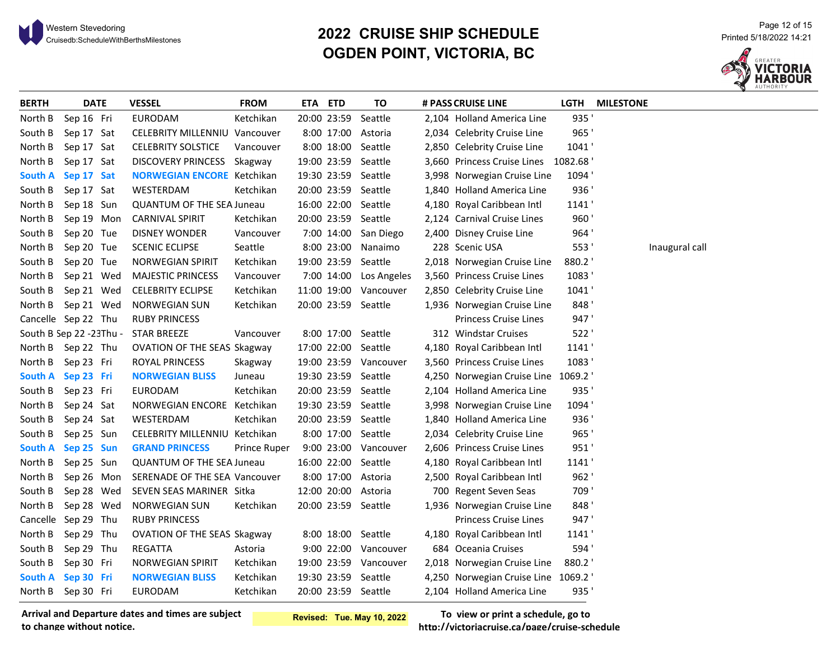

# <sup>21 Page 12 of 15 Page 12 of 15 Page 12 of 15 Page 12 of 15 Page 12 of 15 Page 12 of 15 Page 12 of 15 Page 12 of<br>Cruisedb:ScheduleWithBerthsMilestones Printed 5/18/2022 14:21</sup> **OGDEN POINT, VICTORIA, BC**



| <b>BERTH</b>   | <b>DATE</b>              | <b>VESSEL</b>                        | <b>FROM</b>  | ETA ETD |             | ΤO                     | # PASS CRUISE LINE                  | LGTH  | <b>MILESTONE</b> |
|----------------|--------------------------|--------------------------------------|--------------|---------|-------------|------------------------|-------------------------------------|-------|------------------|
| North B        | Sep 16 Fri               | EURODAM                              | Ketchikan    |         | 20:00 23:59 | Seattle                | 2,104 Holland America Line          | 935'  |                  |
| South B        | Sep 17 Sat               | <b>CELEBRITY MILLENNIU Vancouver</b> |              |         |             | 8:00 17:00 Astoria     | 2,034 Celebrity Cruise Line         | 965'  |                  |
| North B        | Sep 17 Sat               | <b>CELEBRITY SOLSTICE</b>            | Vancouver    |         |             | 8:00 18:00 Seattle     | 2,850 Celebrity Cruise Line         | 1041' |                  |
| North B        | Sep 17 Sat               | DISCOVERY PRINCESS Skagway           |              |         |             | 19:00 23:59 Seattle    | 3,660 Princess Cruise Lines 1082.68 |       |                  |
| <b>South A</b> | Sep 17 Sat               | <b>NORWEGIAN ENCORE Ketchikan</b>    |              |         |             | 19:30 23:59 Seattle    | 3,998 Norwegian Cruise Line         | 1094' |                  |
| South B        | Sep 17 Sat               | WESTERDAM                            | Ketchikan    |         |             | 20:00 23:59 Seattle    | 1,840 Holland America Line          | 936'  |                  |
| North B        | Sep 18 Sun               | <b>QUANTUM OF THE SEA Juneau</b>     |              |         |             | 16:00 22:00 Seattle    | 4,180 Royal Caribbean Intl          | 1141' |                  |
| North B        | Sep 19 Mon               | <b>CARNIVAL SPIRIT</b>               | Ketchikan    |         |             | 20:00 23:59 Seattle    | 2,124 Carnival Cruise Lines         | 960'  |                  |
| South B        | Sep 20 Tue               | <b>DISNEY WONDER</b>                 | Vancouver    |         |             | 7:00 14:00 San Diego   | 2,400 Disney Cruise Line            | 964'  |                  |
| North B        | Sep 20 Tue               | <b>SCENIC ECLIPSE</b>                | Seattle      |         |             | 8:00 23:00 Nanaimo     | 228 Scenic USA                      | 553'  | Inaugural call   |
| South B        | Sep 20 Tue               | <b>NORWEGIAN SPIRIT</b>              | Ketchikan    |         |             | 19:00 23:59 Seattle    | 2,018 Norwegian Cruise Line         | 880.2 |                  |
| North B        | Sep 21 Wed               | <b>MAJESTIC PRINCESS</b>             | Vancouver    |         |             | 7:00 14:00 Los Angeles | 3,560 Princess Cruise Lines         | 1083' |                  |
|                | South B Sep 21 Wed       | <b>CELEBRITY ECLIPSE</b>             | Ketchikan    |         |             | 11:00 19:00 Vancouver  | 2,850 Celebrity Cruise Line         | 1041' |                  |
|                | North B Sep 21 Wed       | <b>NORWEGIAN SUN</b>                 | Ketchikan    |         |             | 20:00 23:59 Seattle    | 1,936 Norwegian Cruise Line         | 848'  |                  |
|                | Cancelle Sep 22 Thu      | <b>RUBY PRINCESS</b>                 |              |         |             |                        | Princess Cruise Lines               | 947'  |                  |
|                | South B Sep 22 - 23Thu - | <b>STAR BREEZE</b>                   | Vancouver    |         |             | 8:00 17:00 Seattle     | 312 Windstar Cruises                | 522'  |                  |
|                | North B Sep 22 Thu       | OVATION OF THE SEAS Skagway          |              |         |             | 17:00 22:00 Seattle    | 4,180 Royal Caribbean Intl          | 1141  |                  |
| North B        | Sep 23 Fri               | ROYAL PRINCESS                       | Skagway      |         |             | 19:00 23:59 Vancouver  | 3,560 Princess Cruise Lines         | 1083' |                  |
|                | South A Sep 23 Fri       | <b>NORWEGIAN BLISS</b>               | Juneau       |         |             | 19:30 23:59 Seattle    | 4,250 Norwegian Cruise Line 1069.2  |       |                  |
| South B        | Sep 23 Fri               | EURODAM                              | Ketchikan    |         |             | 20:00 23:59 Seattle    | 2,104 Holland America Line          | 935'  |                  |
| North B        | Sep 24 Sat               | NORWEGIAN ENCORE Ketchikan           |              |         |             | 19:30 23:59 Seattle    | 3,998 Norwegian Cruise Line         | 1094' |                  |
| South B        | Sep 24 Sat               | WESTERDAM                            | Ketchikan    |         |             | 20:00 23:59 Seattle    | 1,840 Holland America Line          | 936'  |                  |
| South B        | Sep 25 Sun               | CELEBRITY MILLENNIU Ketchikan        |              |         |             | 8:00 17:00 Seattle     | 2,034 Celebrity Cruise Line         | 965'  |                  |
|                | South A Sep 25 Sun       | <b>GRAND PRINCESS</b>                | Prince Ruper |         |             | 9:00 23:00 Vancouver   | 2,606 Princess Cruise Lines         | 951'  |                  |
|                | North B Sep 25 Sun       | <b>QUANTUM OF THE SEA Juneau</b>     |              |         |             | 16:00 22:00 Seattle    | 4,180 Royal Caribbean Intl          | 1141' |                  |
| North B        | Sep 26 Mon               | SERENADE OF THE SEA Vancouver        |              |         |             | 8:00 17:00 Astoria     | 2,500 Royal Caribbean Intl          | 962'  |                  |
| South B        | Sep 28 Wed               | SEVEN SEAS MARINER Sitka             |              |         |             | 12:00 20:00 Astoria    | 700 Regent Seven Seas               | 709'  |                  |
| North B        | Sep 28 Wed               | <b>NORWEGIAN SUN</b>                 | Ketchikan    |         |             | 20:00 23:59 Seattle    | 1,936 Norwegian Cruise Line         | 848'  |                  |
|                | Cancelle Sep 29 Thu      | <b>RUBY PRINCESS</b>                 |              |         |             |                        | Princess Cruise Lines               | 947'  |                  |
| North B        | Sep 29 Thu               | <b>OVATION OF THE SEAS Skagway</b>   |              |         |             | 8:00 18:00 Seattle     | 4,180 Royal Caribbean Intl          | 1141' |                  |
| South B        | Sep 29 Thu               | <b>REGATTA</b>                       | Astoria      |         |             | 9:00 22:00 Vancouver   | 684 Oceania Cruises                 | 594'  |                  |
| South B        | Sep 30 Fri               | <b>NORWEGIAN SPIRIT</b>              | Ketchikan    |         |             | 19:00 23:59 Vancouver  | 2,018 Norwegian Cruise Line         | 880.2 |                  |
| <b>South A</b> | Sep 30 Fri               | <b>NORWEGIAN BLISS</b>               | Ketchikan    |         |             | 19:30 23:59 Seattle    | 4,250 Norwegian Cruise Line 1069.2  |       |                  |
|                | North B Sep 30 Fri       | EURODAM                              | Ketchikan    |         |             | 20:00 23:59 Seattle    | 2,104 Holland America Line          | 935'  |                  |

**Arrival and Departure dates and times are subject to change without notice.**

**Revised: Tue. May 10, 2022**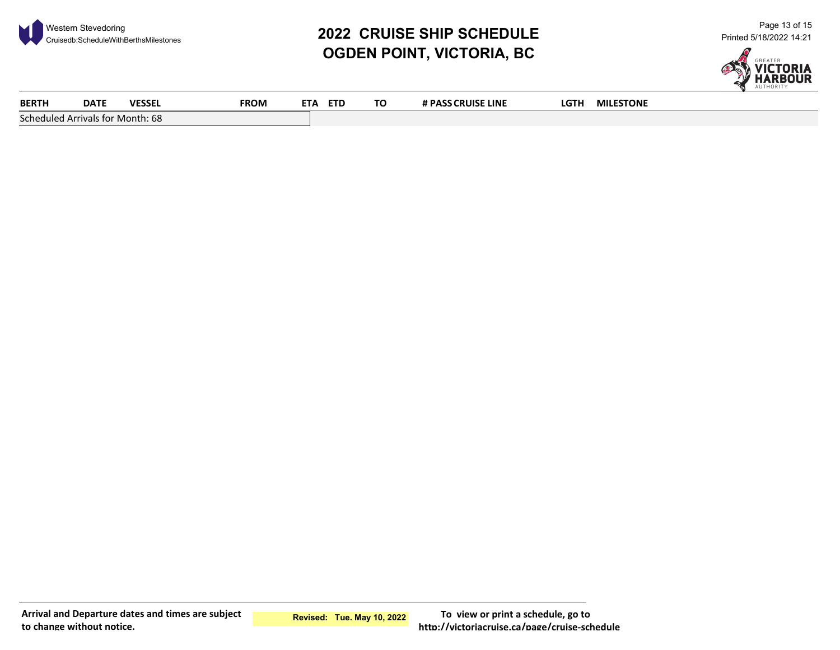

# **2022 CRUISE SHIP SCHEDULE** Western Stevedoring Cruisedb:ScheduleWithBerthsMilestones Page 13 of 15 Printed 5/18/2022 14:21 **OGDEN POINT, VICTORIA, BC**



| BERTH                            | <b>DATE</b> | <b>VESSEL</b> | <b>FROM</b> | <b>ETA</b><br><b>ETD</b> | ΤO | # PASS CRUISE LINE | LGTH | <b>MILESTONE</b> |  |
|----------------------------------|-------------|---------------|-------------|--------------------------|----|--------------------|------|------------------|--|
| Scheduled Arrivals for Month: 68 |             |               |             |                          |    |                    |      |                  |  |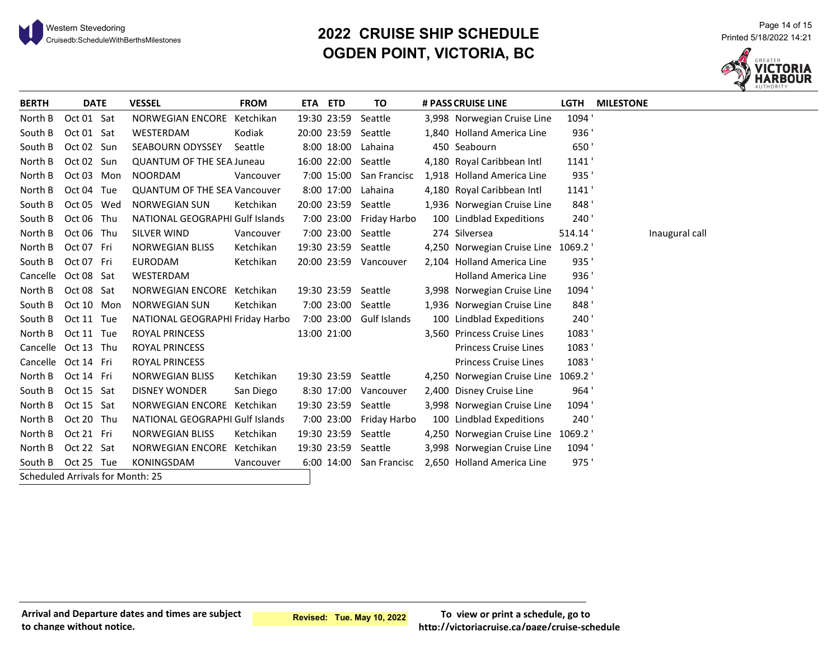

# **2022 CRUISE SHIP SCHEDULE** Western Stevedoring Cruisedb:ScheduleWithBerthsMilestones Page 14 of 15 Printed 5/18/2022 14:21 **OGDEN POINT, VICTORIA, BC**



| <b>BERTH</b>                     | <b>DATE</b> | <b>VESSEL</b>                       | <b>FROM</b> | ETA ETD     | TO                      | # PASS CRUISE LINE                 | <b>LGTH</b> | <b>MILESTONE</b> |
|----------------------------------|-------------|-------------------------------------|-------------|-------------|-------------------------|------------------------------------|-------------|------------------|
| North B                          | Oct 01 Sat  | NORWEGIAN ENCORE Ketchikan          |             | 19:30 23:59 | Seattle                 | 3,998 Norwegian Cruise Line        | 1094'       |                  |
| South B                          | Oct 01 Sat  | WESTERDAM                           | Kodiak      | 20:00 23:59 | Seattle                 | 1,840 Holland America Line         | 936'        |                  |
| South B                          | Oct 02 Sun  | <b>SEABOURN ODYSSEY</b>             | Seattle     | 8:00 18:00  | Lahaina                 | 450 Seabourn                       | 650'        |                  |
| North B                          | Oct 02 Sun  | <b>QUANTUM OF THE SEA Juneau</b>    |             |             | 16:00 22:00 Seattle     | 4,180 Royal Caribbean Intl         | 1141        |                  |
| North B                          | Oct 03 Mon  | <b>NOORDAM</b>                      | Vancouver   |             | 7:00 15:00 San Francisc | 1,918 Holland America Line         | 935'        |                  |
| North B                          | Oct 04 Tue  | <b>QUANTUM OF THE SEA Vancouver</b> |             | 8:00 17:00  | Lahaina                 | 4,180 Royal Caribbean Intl         | 1141'       |                  |
| South B                          | Oct 05 Wed  | <b>NORWEGIAN SUN</b>                | Ketchikan   | 20:00 23:59 | Seattle                 | 1,936 Norwegian Cruise Line        | 848'        |                  |
| South B                          | Oct 06 Thu  | NATIONAL GEOGRAPHI Gulf Islands     |             |             | 7:00 23:00 Friday Harbo | 100 Lindblad Expeditions           | 240'        |                  |
| North B                          | Oct 06 Thu  | <b>SILVER WIND</b>                  | Vancouver   | 7:00 23:00  | Seattle                 | 274 Silversea                      | 514.14      | Inaugural call   |
| North B                          | Oct 07 Fri  | <b>NORWEGIAN BLISS</b>              | Ketchikan   |             | 19:30 23:59 Seattle     | 4,250 Norwegian Cruise Line 1069.2 |             |                  |
| South B                          | Oct 07 Fri  | <b>EURODAM</b>                      | Ketchikan   | 20:00 23:59 | Vancouver               | 2,104 Holland America Line         | 935'        |                  |
| Cancelle Oct 08 Sat              |             | WESTERDAM                           |             |             |                         | <b>Holland America Line</b>        | 936'        |                  |
| North B                          | Oct 08 Sat  | NORWEGIAN ENCORE Ketchikan          |             | 19:30 23:59 | Seattle                 | 3,998 Norwegian Cruise Line        | 1094'       |                  |
| South B                          | Oct 10 Mon  | <b>NORWEGIAN SUN</b>                | Ketchikan   |             | 7:00 23:00 Seattle      | 1,936 Norwegian Cruise Line        | 848'        |                  |
| South B                          | Oct 11 Tue  | NATIONAL GEOGRAPHI Friday Harbo     |             |             | 7:00 23:00 Gulf Islands | 100 Lindblad Expeditions           | 240'        |                  |
| North B                          | Oct 11 Tue  | ROYAL PRINCESS                      |             | 13:00 21:00 |                         | 3,560 Princess Cruise Lines        | 1083'       |                  |
| Cancelle Oct 13 Thu              |             | <b>ROYAL PRINCESS</b>               |             |             |                         | <b>Princess Cruise Lines</b>       | 1083'       |                  |
| Cancelle Oct 14 Fri              |             | ROYAL PRINCESS                      |             |             |                         | <b>Princess Cruise Lines</b>       | 1083'       |                  |
| North B                          | Oct 14 Fri  | <b>NORWEGIAN BLISS</b>              | Ketchikan   | 19:30 23:59 | Seattle                 | 4,250 Norwegian Cruise Line        | 1069.2      |                  |
| South B                          | Oct 15 Sat  | <b>DISNEY WONDER</b>                | San Diego   |             | 8:30 17:00 Vancouver    | 2,400 Disney Cruise Line           | 964'        |                  |
| North B                          | Oct 15 Sat  | NORWEGIAN ENCORE Ketchikan          |             |             | 19:30 23:59 Seattle     | 3,998 Norwegian Cruise Line        | 1094'       |                  |
| North B                          | Oct 20 Thu  | NATIONAL GEOGRAPHI Gulf Islands     |             |             | 7:00 23:00 Friday Harbo | 100 Lindblad Expeditions           | 240'        |                  |
| North B                          | Oct 21 Fri  | <b>NORWEGIAN BLISS</b>              | Ketchikan   | 19:30 23:59 | Seattle                 | 4,250 Norwegian Cruise Line 1069.2 |             |                  |
| North B                          | Oct 22 Sat  | NORWEGIAN ENCORE Ketchikan          |             |             | 19:30 23:59 Seattle     | 3,998 Norwegian Cruise Line        | 1094'       |                  |
| South B                          | Oct 25 Tue  | KONINGSDAM                          | Vancouver   |             | 6:00 14:00 San Francisc | 2,650 Holland America Line         | 975'        |                  |
| Scheduled Arrivals for Month: 25 |             |                                     |             |             |                         |                                    |             |                  |